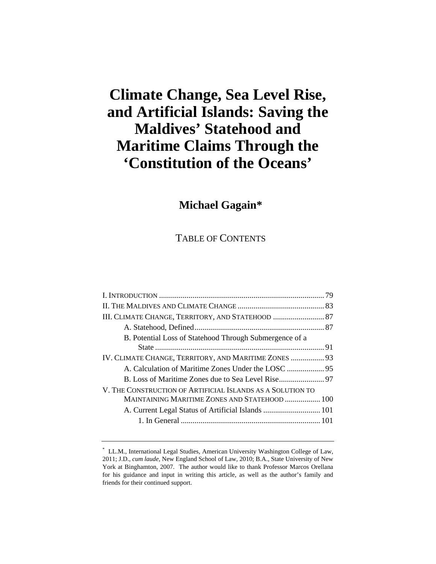# **Climate Change, Sea Level Rise, and Artificial Islands: Saving the Maldives' Statehood and Maritime Claims Through the 'Constitution of the Oceans'**

# **Michael Gagain\***

TABLE OF CONTENTS

| B. Potential Loss of Statehood Through Submergence of a    |  |
|------------------------------------------------------------|--|
|                                                            |  |
| IV. CLIMATE CHANGE, TERRITORY, AND MARITIME ZONES  93      |  |
|                                                            |  |
|                                                            |  |
| V. THE CONSTRUCTION OF ARTIFICIAL ISLANDS AS A SOLUTION TO |  |
| MAINTAINING MARITIME ZONES AND STATEHOOD  100              |  |
|                                                            |  |
|                                                            |  |
|                                                            |  |

<sup>\*</sup> LL.M., International Legal Studies, American University Washington College of Law, 2011; J.D., *cum laude*, New England School of Law, 2010; B.A., State University of New York at Binghamton, 2007. The author would like to thank Professor Marcos Orellana for his guidance and input in writing this article, as well as the author's family and friends for their continued support.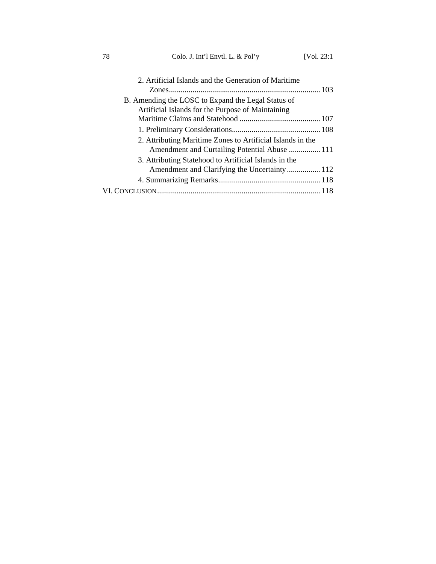78 Colo. J. Int'l Envtl. L. & Pol'y [Vol. 23:1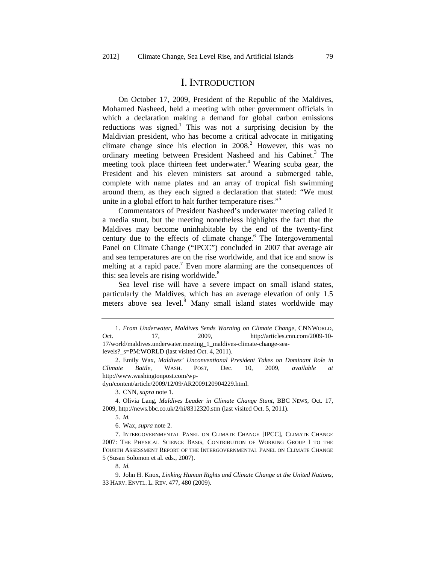### I. INTRODUCTION

On October 17, 2009, President of the Republic of the Maldives, Mohamed Nasheed, held a meeting with other government officials in which a declaration making a demand for global carbon emissions reductions was signed.<sup>1</sup> This was not a surprising decision by the Maldivian president, who has become a critical advocate in mitigating climate change since his election in  $2008<sup>2</sup>$ . However, this was no ordinary meeting between President Nasheed and his Cabinet.<sup>3</sup> The meeting took place thirteen feet underwater.<sup>4</sup> Wearing scuba gear, the President and his eleven ministers sat around a submerged table, complete with name plates and an array of tropical fish swimming around them, as they each signed a declaration that stated: "We must unite in a global effort to halt further temperature rises."<sup>5</sup>

Commentators of President Nasheed's underwater meeting called it a media stunt, but the meeting nonetheless highlights the fact that the Maldives may become uninhabitable by the end of the twenty-first century due to the effects of climate change.<sup>6</sup> The Intergovernmental Panel on Climate Change ("IPCC") concluded in 2007 that average air and sea temperatures are on the rise worldwide, and that ice and snow is melting at a rapid pace.<sup>7</sup> Even more alarming are the consequences of this: sea levels are rising worldwide.<sup>8</sup>

Sea level rise will have a severe impact on small island states, particularly the Maldives, which has an average elevation of only 1.5 meters above sea level.<sup>9</sup> Many small island states worldwide may

2. Emily Wax, *Maldives' Unconventional President Takes on Dominant Role in Climate Battle*, WASH. POST, Dec. 10, 2009, *available at* http://www.washingtonpost.com/wp-

dyn/content/article/2009/12/09/AR2009120904229.html.

4. Olivia Lang, *Maldives Leader in Climate Change Stunt*, BBC NEWS, Oct. 17, 2009, http://news.bbc.co.uk/2/hi/8312320.stm (last visited Oct. 5, 2011).

5. *Id.*

6. Wax, *supra* note 2.

7. INTERGOVERNMENTAL PANEL ON CLIMATE CHANGE [IPCC], CLIMATE CHANGE 2007: THE PHYSICAL SCIENCE BASIS, CONTRIBUTION OF WORKING GROUP I TO THE FOURTH ASSESSMENT REPORT OF THE INTERGOVERNMENTAL PANEL ON CLIMATE CHANGE 5 (Susan Solomon et al. eds., 2007).

8. *Id.*

<sup>1.</sup> *From Underwater, Maldives Sends Warning on Climate Change*, CNNWORLD, Oct. 17, 2009, http://articles.cnn.com/2009-10- 17/world/maldives.underwater.meeting\_1\_maldives-climate-change-sealevels? s=PM:WORLD (last visited Oct. 4, 2011).

<sup>3.</sup> CNN, *supra* note 1.

<sup>9.</sup> John H. Knox, *Linking Human Rights and Climate Change at the United Nations*, 33 HARV. ENVTL. L. REV. 477, 480 (2009).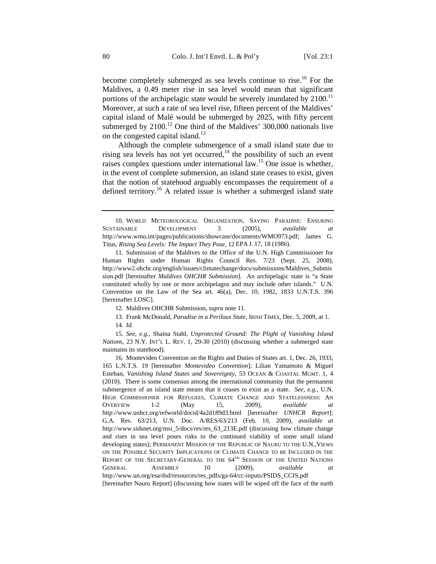become completely submerged as sea levels continue to rise.<sup>10</sup> For the Maldives, a 0.49 meter rise in sea level would mean that significant portions of the archipelagic state would be severely inundated by  $2100$ .<sup>11</sup> Moreover, at such a rate of sea level rise, fifteen percent of the Maldives' capital island of Malé would be submerged by 2025, with fifty percent submerged by  $2100<sup>12</sup>$  One third of the Maldives' 300,000 nationals live on the congested capital island.<sup>13</sup>

Although the complete submergence of a small island state due to rising sea levels has not yet occurred, $14$  the possibility of such an event raises complex questions under international law.15 One issue is whether, in the event of complete submersion, an island state ceases to exist, given that the notion of statehood arguably encompasses the requirement of a defined territory.<sup>16</sup> A related issue is whether a submerged island state

<sup>10.</sup> WORLD METEOROLOGICAL ORGANIZATION, SAVING PARADISE: ENSURING SUSTAINABLE DEVELOPMENT 3 (2005), *available at*  http://www.wmo.int/pages/publications/showcase/documents/WMO973.pdf; James G. Titus, *Rising Sea Levels: The Impact They Pose*, 12 EPA J. 17, 18 (1986).

<sup>11.</sup> Submission of the Maldives to the Office of the U.N. High Commissioner for Human Rights under Human Rights Council Res. 7/23 (Sept. 25, 2008), http://www2.ohchr.org/english/issues/climatechange/docs/submissions/Maldives\_Submis sion.pdf [hereinafter *Maldives OHCHR Submission*]. An archipelagic state is "a State constituted wholly by one or more archipelagos and may include other islands." U.N. Convention on the Law of the Sea art.  $46(a)$ , Dec. 10, 1982, 1833 U.N.T.S. 396 [hereinafter LOSC].

<sup>12.</sup> Maldives OHCHR Submission, *supra* note 11.

<sup>13.</sup> Frank McDonald, *Paradise in a Perilous State*, IRISH TIMES, Dec. 5, 2009, at 1. 14. *Id.*

<sup>15.</sup> *See, e.g.*, Shaina Stahl, *Unprotected Ground: The Plight of Vanishing Island Nations*, 23 N.Y. INT'L L. REV. 1, 29-30 (2010) (discussing whether a submerged state maintains its statehood).

<sup>16.</sup> Montevideo Convention on the Rights and Duties of States art. 1, Dec. 26, 1933, 165 L.N.T.S. 19 [hereinafter *Montevideo Convention*]; Lilian Yamamoto & Miguel Esteban, *Vanishing Island States and Sovereignty*, 53 OCEAN & COASTAL MGMT. 1, 4 (2010). There is some consensus among the international community that the permanent submergence of an island state means that it ceases to exist as a state. *See, e.g.*, U.N. HIGH COMMISSIONER FOR REFUGEES, CLIMATE CHANGE AND STATELESSNESS: AN OVERVIEW 1-2 (May 15, 2009), *available at* http://www.unhcr.org/refworld/docid/4a2d189d3.html [hereinafter *UNHCR Report*]; G.A. Res. 63/213, U.N. Doc. A/RES/63/213 (Feb. 10, 2009), *available at* http://www.sidsnet.org/msi\_5/docs/res/res\_63\_213E.pdf (discussing how climate change and rises in sea level poses risks to the continued viability of some small island developing states); PERMANENT MISSION OF THE REPUBLIC OF NAURU TO THE U.N., VIEWS ON THE POSSIBLE SECURITY IMPLICATIONS OF CLIMATE CHANGE TO BE INCLUDED IN THE REPORT OF THE SECRETARY-GENERAL TO THE 64<sup>TH</sup> SESSION OF THE UNITED NATIONS GENERAL ASSEMBLY 10 (2009), *available at* http://www.un.org/esa/dsd/resources/res\_pdfs/ga-64/cc-inputs/PSIDS\_CCIS.pdf [hereinafter Nauru Report] (discussing how states will be wiped off the face of the earth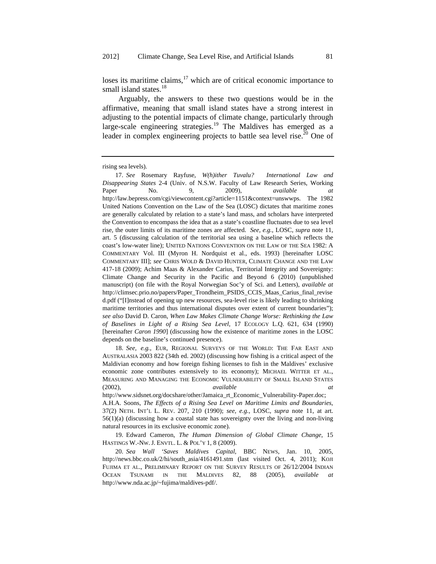loses its maritime claims, $17$  which are of critical economic importance to small island states.<sup>18</sup>

Arguably, the answers to these two questions would be in the affirmative, meaning that small island states have a strong interest in adjusting to the potential impacts of climate change, particularly through large-scale engineering strategies.<sup>19</sup> The Maldives has emerged as a leader in complex engineering projects to battle sea level rise.<sup>20</sup> One of

18. *See, e.g.*, EUR, REGIONAL SURVEYS OF THE WORLD: THE FAR EAST AND AUSTRALASIA 2003 822 (34th ed. 2002) (discussing how fishing is a critical aspect of the Maldivian economy and how foreign fishing licenses to fish in the Maldives' exclusive economic zone contributes extensively to its economy); MICHAEL WITTER ET AL., MEASURING AND MANAGING THE ECONOMIC VULNERABILITY OF SMALL ISLAND STATES (2002), *available at*

http://www.sidsnet.org/docshare/other/Jamaica\_rt\_Economic\_Vulnerability-Paper.doc; A.H.A. Soons, *The Effects of a Rising Sea Level on Maritime Limits and Boundaries*, 37(2) NETH. INT'L L. REV. 207, 210 (1990); *see, e.g.*, LOSC, *supra* note 11, at art. 56(1)(a) (discussing how a coastal state has sovereignty over the living and non-living natural resources in its exclusive economic zone).

19. Edward Cameron, *The Human Dimension of Global Climate Change*, 15 HASTINGS W.-NW. J. ENVTL. L. & POL'Y 1, 8 (2009).

20. *Sea Wall 'Saves Maldives Capital*, BBC NEWS, Jan. 10, 2005, http://news.bbc.co.uk/2/hi/south\_asia/4161491.stm (last visited Oct. 4, 2011); KOJI FUJIMA ET AL., PRELIMINARY REPORT ON THE SURVEY RESULTS OF 26/12/2004 INDIAN OCEAN TSUNAMI IN THE MALDIVES 82, 88 (2005), *available* http://www.nda.ac.jp/~fujima/maldives-pdf/.

rising sea levels).

<sup>17.</sup> *See* Rosemary Rayfuse, *W(h)ither Tuvalu? International Law and Disappearing States* 2-4 (Univ. of N.S.W. Faculty of Law Research Series, Working Paper No. 9, 2009), *available at*  http://law.bepress.com/cgi/viewcontent.cgi?article=1151&context=unswwps. The 1982 United Nations Convention on the Law of the Sea (LOSC) dictates that maritime zones are generally calculated by relation to a state's land mass, and scholars have interpreted the Convention to encompass the idea that as a state's coastline fluctuates due to sea level rise, the outer limits of its maritime zones are affected. *See, e.g.*, LOSC, *supra* note 11, art. 5 (discussing calculation of the territorial sea using a baseline which reflects the coast's low-water line); UNITED NATIONS CONVENTION ON THE LAW OF THE SEA 1982: A COMMENTARY Vol. III (Myron H. Nordquist et al., eds. 1993) [hereinafter LOSC COMMENTARY III]; *see* CHRIS WOLD & DAVID HUNTER, CLIMATE CHANGE AND THE LAW 417-18 (2009); Achim Maas & Alexander Carius, Territorial Integrity and Sovereignty: Climate Change and Security in the Pacific and Beyond 6 (2010) (unpublished manuscript) (on file with the Royal Norwegian Soc'y of Sci. and Letters), *available at* http://climsec.prio.no/papers/Paper\_Trondheim\_PSIDS\_CCIS\_Maas\_Carius\_final\_revise d.pdf ("[I]nstead of opening up new resources, sea-level rise is likely leading to shrinking maritime territories and thus international disputes over extent of current boundaries"); *see also* David D. Caron, *When Law Makes Climate Change Worse: Rethinking the Law of Baselines in Light of a Rising Sea Level*, 17 ECOLOGY L.Q. 621, 634 (1990) [hereinafter *Caron 1990*] (discussing how the existence of maritime zones in the LOSC depends on the baseline's continued presence).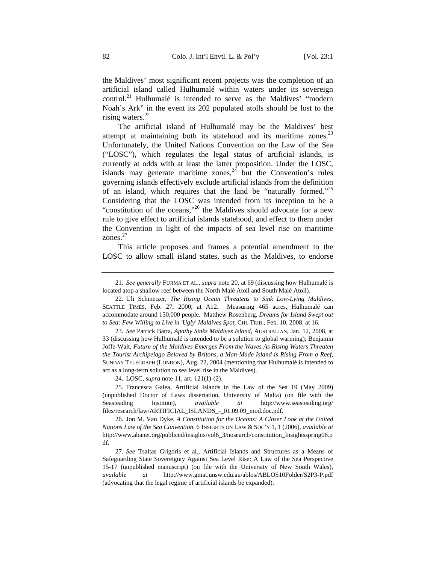the Maldives' most significant recent projects was the completion of an artificial island called Hulhumalé within waters under its sovereign control.<sup>21</sup> Hulhumalé is intended to serve as the Maldives' "modern Noah's Ark" in the event its 202 populated atolls should be lost to the rising waters.<sup>22</sup>

The artificial island of Hulhumalé may be the Maldives' best attempt at maintaining both its statehood and its maritime zones.<sup>23</sup> Unfortunately, the United Nations Convention on the Law of the Sea ("LOSC"), which regulates the legal status of artificial islands, is currently at odds with at least the latter proposition. Under the LOSC, islands may generate maritime zones,  $2\overline{4}$  but the Convention's rules governing islands effectively exclude artificial islands from the definition of an island, which requires that the land be "naturally formed."25 Considering that the LOSC was intended from its inception to be a "constitution of the oceans,"<sup>26</sup> the Maldives should advocate for a new rule to give effect to artificial islands statehood, and effect to them under the Convention in light of the impacts of sea level rise on maritime zones. $27$ 

This article proposes and frames a potential amendment to the LOSC to allow small island states, such as the Maldives, to endorse

23. *See* Patrick Barta, *Apathy Sinks Maldives Island*, AUSTRALIAN, Jan. 12, 2008, at 33 (discussing how Hulhumalé is intended to be a solution to global warming); Benjamin Joffe-Walt, *Future of the Maldives Emerges From the Waves As Rising Waters Threaten the Tourist Archipelago Beloved by Britons, a Man-Made Island is Rising From a Reef*, SUNDAY TELEGRAPH (LONDON), Aug. 22, 2004 (mentioning that Hulhumalé is intended to act as a long-term solution to sea level rise in the Maldives).

24. LOSC, *supra* note 11, art. 121(1)-(2).

25. Francesca Galea, Artificial Islands in the Law of the Sea 19 (May 2009) (unpublished Doctor of Laws dissertation, University of Malta) (on file with the Seasteading Institute), *available at* http://www.seasteading.org/ files/research/law/ARTIFICIAL\_ISLANDS\_-\_01.09.09\_mod.doc.pdf.

26. Jon M. Van Dyke, *A Constitution for the Oceans: A Closer Look at the United Nations Law of the Sea Convention*, 6 INSIGHTS ON LAW & SOC'Y 1, 1 (2006), *available at* http://www.abanet.org/publiced/insights/vol6\_3/nosearch/constitution\_Insightsspring06.p df.

27. *See* Tsaltas Grigoris et al., Artificial Islands and Structures as a Means of Safeguarding State Sovereignty Against Sea Level Rise: A Law of the Sea Perspective 15-17 (unpublished manuscript) (on file with the University of New South Wales), *available at* http://www.gmat.unsw.edu.au/ablos/ABLOS10Folder/S2P3-P.pdf (advocating that the legal regime of artificial islands be expanded).

<sup>21.</sup> *See generally* FUJIMA ET AL., *supra* note 20, at 69 (discussing how Hulhumalé is located atop a shallow reef between the North Malé Atoll and South Malé Atoll).

<sup>22.</sup> Uli Schmetzer, *The Rising Ocean Threatens to Sink Low-Lying Maldives*, SEATTLE TIMES, Feb. 27, 2000, at A12. Measuring 465 acres, Hulhumalé can accommodate around 150,000 people. Matthew Rosenberg, *Dreams for Island Swept out to Sea: Few Willing to Live in 'Ugly' Maldives Spot*, CHI. TRIB., Feb. 10, 2008, at 16.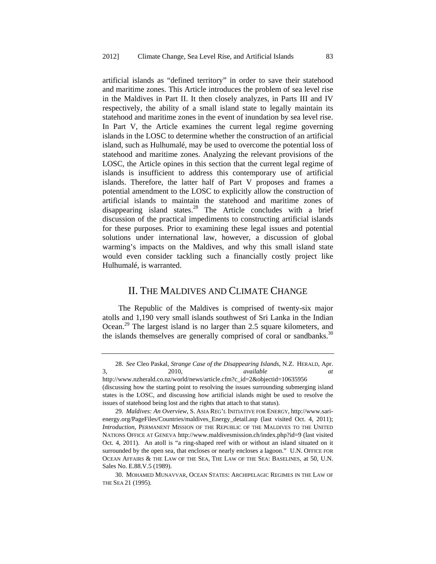artificial islands as "defined territory" in order to save their statehood and maritime zones. This Article introduces the problem of sea level rise in the Maldives in Part II. It then closely analyzes, in Parts III and IV respectively, the ability of a small island state to legally maintain its statehood and maritime zones in the event of inundation by sea level rise. In Part V, the Article examines the current legal regime governing islands in the LOSC to determine whether the construction of an artificial island, such as Hulhumalé, may be used to overcome the potential loss of statehood and maritime zones. Analyzing the relevant provisions of the LOSC, the Article opines in this section that the current legal regime of islands is insufficient to address this contemporary use of artificial islands. Therefore, the latter half of Part V proposes and frames a potential amendment to the LOSC to explicitly allow the construction of artificial islands to maintain the statehood and maritime zones of disappearing island states.<sup>28</sup> The Article concludes with a brief discussion of the practical impediments to constructing artificial islands for these purposes. Prior to examining these legal issues and potential solutions under international law, however, a discussion of global warming's impacts on the Maldives, and why this small island state would even consider tackling such a financially costly project like Hulhumalé, is warranted.

# II. THE MALDIVES AND CLIMATE CHANGE

The Republic of the Maldives is comprised of twenty-six major atolls and 1,190 very small islands southwest of Sri Lanka in the Indian Ocean.29 The largest island is no larger than 2.5 square kilometers, and the islands themselves are generally comprised of coral or sandbanks.<sup>30</sup>

<sup>28.</sup> *See* Cleo Paskal, *Strange Case of the Disappearing Islands*, N.Z. HERALD, Apr. 3, 2010, *available at*

http://www.nzherald.co.nz/world/news/article.cfm?c\_id=2&objectid=10635956 (discussing how the starting point to resolving the issues surrounding submerging island states is the LOSC, and discussing how artificial islands might be used to resolve the issues of statehood being lost and the rights that attach to that status).

<sup>29.</sup> *Maldives: An Overview*, S. ASIA REG'L INITIATIVE FOR ENERGY, http://www.sarienergy.org/PageFiles/Countries/maldives\_Energy\_detail.asp (last visited Oct. 4, 2011); *Introduction*, PERMANENT MISSION OF THE REPUBLIC OF THE MALDIVES TO THE UNITED NATIONS OFFICE AT GENEVA http://www.maldivesmission.ch/index.php?id=9 (last visited Oct. 4, 2011). An atoll is "a ring-shaped reef with or without an island situated on it surrounded by the open sea, that encloses or nearly encloses a lagoon." U.N. OFFICE FOR OCEAN AFFAIRS & THE LAW OF THE SEA, THE LAW OF THE SEA: BASELINES, at 50, U.N. Sales No. E.88.V.5 (1989).

<sup>30.</sup> MOHAMED MUNAVVAR, OCEAN STATES: ARCHIPELAGIC REGIMES IN THE LAW OF THE SEA 21 (1995).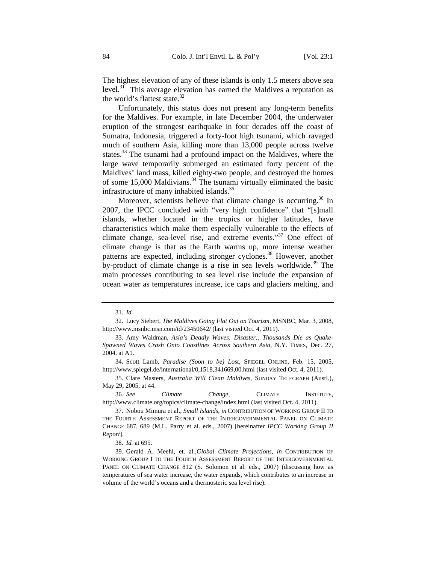The highest elevation of any of these islands is only 1.5 meters above sea level. $31$  This average elevation has earned the Maldives a reputation as the world's flattest state. $32$ 

Unfortunately, this status does not present any long-term benefits for the Maldives. For example, in late December 2004, the underwater eruption of the strongest earthquake in four decades off the coast of Sumatra, Indonesia, triggered a forty-foot high tsunami, which ravaged much of southern Asia, killing more than 13,000 people across twelve states.<sup>33</sup> The tsunami had a profound impact on the Maldives, where the large wave temporarily submerged an estimated forty percent of the Maldives' land mass, killed eighty-two people, and destroyed the homes of some 15,000 Maldivians.<sup>34</sup> The tsunami virtually eliminated the basic infrastructure of many inhabited islands.<sup>35</sup>

Moreover, scientists believe that climate change is occurring.<sup>36</sup> In 2007, the IPCC concluded with "very high confidence" that "[s]mall islands, whether located in the tropics or higher latitudes, have characteristics which make them especially vulnerable to the effects of climate change, sea-level rise, and extreme events."<sup>37</sup> One effect of climate change is that as the Earth warms up, more intense weather patterns are expected, including stronger cyclones.<sup>38</sup> However, another by-product of climate change is a rise in sea levels worldwide.<sup>39</sup> The main processes contributing to sea level rise include the expansion of ocean water as temperatures increase, ice caps and glaciers melting, and

34. Scott Lamb, *Paradise (Soon to be) Lost*, SPIEGEL ONLINE, Feb. 15, 2005, http://www.spiegel.de/international/0,1518,341669,00.html (last visited Oct. 4, 2011).

35. Clare Masters, *Australia Will Clean Maldives*, SUNDAY TELEGRAPH (Austl.), May 29, 2005, at 44.

36. *See Climate Change*, CLIMATE INSTITUTE, http://www.climate.org/topics/climate-change/index.html (last visited Oct. 4, 2011).

38. *Id.* at 695.

<sup>31.</sup> *Id.*

<sup>32.</sup> Lucy Siebert, *The Maldives Going Flat Out on Tourism*, MSNBC, Mar. 3, 2008, http://www.msnbc.msn.com/id/23450642/ (last visited Oct. 4, 2011).

<sup>33.</sup> Amy Waldman, *Asia's Deadly Waves: Disaster;, Thousands Die as Quake-Spawned Waves Crash Onto Coastlines Across Southern Asia*, N.Y. TIMES, Dec. 27, 2004, at A1.

<sup>37.</sup> Nobou Mimura et al., *Small Islands*, *in* CONTRIBUTION OF WORKING GROUP II TO THE FOURTH ASSESSMENT REPORT OF THE INTERGOVERNMENTAL PANEL ON CLIMATE CHANGE 687, 689 (M.L. Parry et al. eds., 2007) [hereinafter *IPCC Working Group II Report*].

<sup>39.</sup> Gerald A. Meehl, et. al.,*Global Climate Projections*, *in* CONTRIBUTION OF WORKING GROUP I TO THE FOURTH ASSESSMENT REPORT OF THE INTERGOVERNMENTAL PANEL ON CLIMATE CHANGE 812 (S. Solomon et al. eds., 2007) (discussing how as temperatures of sea water increase, the water expands, which contributes to an increase in volume of the world's oceans and a thermosteric sea level rise).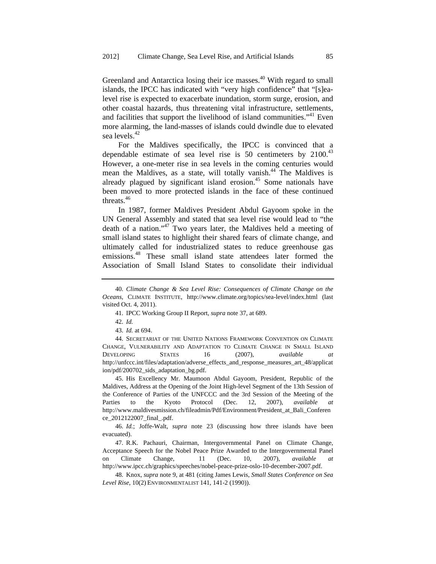Greenland and Antarctica losing their ice masses.<sup>40</sup> With regard to small islands, the IPCC has indicated with "very high confidence" that "[s]ealevel rise is expected to exacerbate inundation, storm surge, erosion, and other coastal hazards, thus threatening vital infrastructure, settlements, and facilities that support the livelihood of island communities."<sup>41</sup> Even more alarming, the land-masses of islands could dwindle due to elevated sea levels.<sup>42</sup>

For the Maldives specifically, the IPCC is convinced that a dependable estimate of sea level rise is 50 centimeters by  $2100^{43}$ However, a one-meter rise in sea levels in the coming centuries would mean the Maldives, as a state, will totally vanish.<sup>44</sup> The Maldives is already plagued by significant island erosion.<sup>45</sup> Some nationals have been moved to more protected islands in the face of these continued threats.<sup>46</sup>

In 1987, former Maldives President Abdul Gayoom spoke in the UN General Assembly and stated that sea level rise would lead to "the death of a nation."47 Two years later, the Maldives held a meeting of small island states to highlight their shared fears of climate change, and ultimately called for industrialized states to reduce greenhouse gas emissions.48 These small island state attendees later formed the Association of Small Island States to consolidate their individual

45. His Excellency Mr. Maumoon Abdul Gayoom, President, Republic of the Maldives, Address at the Opening of the Joint High-level Segment of the 13th Session of the Conference of Parties of the UNFCCC and the 3rd Session of the Meeting of the Parties to the Kyoto Protocol (Dec. 12, 2007), *available at* http://www.maldivesmission.ch/fileadmin/Pdf/Environment/President\_at\_Bali\_Conferen ce\_2012122007\_final\_.pdf.

46. *Id.*; Joffe-Walt, *supra* note 23 (discussing how three islands have been evacuated).

47. R.K. Pachauri, Chairman, Intergovernmental Panel on Climate Change, Acceptance Speech for the Nobel Peace Prize Awarded to the Intergovernmental Panel Climate Change, 11 (Dec. 10, 2007), *available* http://www.ipcc.ch/graphics/speeches/nobel-peace-prize-oslo-10-december-2007.pdf.

48. Knox, *supra* note 9, at 481 (citing James Lewis, *Small States Conference on Sea Level Rise*, 10(2) ENVIRONMENTALIST 141, 141-2 (1990)).

<sup>40.</sup> *Climate Change & Sea Level Rise: Consequences of Climate Change on the Oceans*, CLIMATE INSTITUTE, http://www.climate.org/topics/sea-level/index.html (last visited Oct. 4, 2011).

<sup>41.</sup> IPCC Working Group II Report, *supra* note 37, at 689.

<sup>42.</sup> *Id.*

<sup>43.</sup> *Id.* at 694.

<sup>44.</sup> SECRETARIAT OF THE UNITED NATIONS FRAMEWORK CONVENTION ON CLIMATE CHANGE, VULNERABILITY AND ADAPTATION TO CLIMATE CHANGE IN SMALL ISLAND DEVELOPING STATES 16 (2007), *available at* http://unfccc.int/files/adaptation/adverse\_effects\_and\_response\_measures\_art\_48/applicat ion/pdf/200702\_sids\_adaptation\_bg.pdf.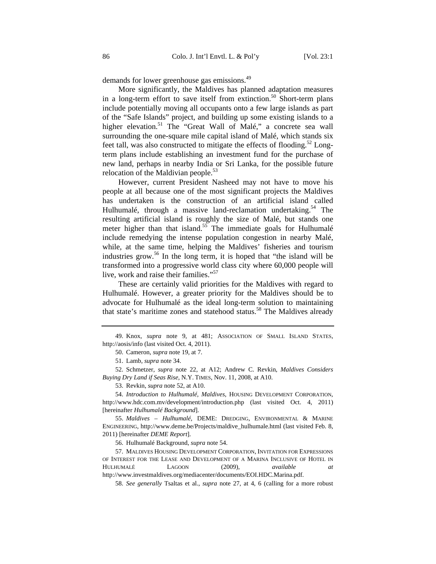demands for lower greenhouse gas emissions.49

More significantly, the Maldives has planned adaptation measures in a long-term effort to save itself from extinction.<sup>50</sup> Short-term plans include potentially moving all occupants onto a few large islands as part of the "Safe Islands" project, and building up some existing islands to a higher elevation.<sup>51</sup> The "Great Wall of Malé," a concrete sea wall surrounding the one-square mile capital island of Malé, which stands six feet tall, was also constructed to mitigate the effects of flooding.<sup>52</sup> Longterm plans include establishing an investment fund for the purchase of new land, perhaps in nearby India or Sri Lanka, for the possible future relocation of the Maldivian people.<sup>53</sup>

However, current President Nasheed may not have to move his people at all because one of the most significant projects the Maldives has undertaken is the construction of an artificial island called Hulhumalé, through a massive land-reclamation undertaking.<sup>54</sup> The resulting artificial island is roughly the size of Malé, but stands one meter higher than that island.<sup>55</sup> The immediate goals for Hulhumalé include remedying the intense population congestion in nearby Malé, while, at the same time, helping the Maldives' fisheries and tourism industries grow.<sup>56</sup> In the long term, it is hoped that "the island will be transformed into a progressive world class city where 60,000 people will live, work and raise their families."<sup>57</sup>

These are certainly valid priorities for the Maldives with regard to Hulhumalé. However, a greater priority for the Maldives should be to advocate for Hulhumalé as the ideal long-term solution to maintaining that state's maritime zones and statehood status.<sup>58</sup> The Maldives already

52. Schmetzer, *supra* note 22, at A12; Andrew C. Revkin, *Maldives Considers Buying Dry Land if Seas Rise*, N.Y. TIMES, Nov. 11, 2008, at A10.

54. *Introduction to Hulhumalé, Maldives*, HOUSING DEVELOPMENT CORPORATION, http://www.hdc.com.mv/development/introduction.php (last visited Oct. 4, 2011) [hereinafter *Hulhumalé Background*].

55. *Maldives – Hulhumalé*, DEME: DREDGING, ENVIRONMENTAL & MARINE ENGINEERING, http://www.deme.be/Projects/maldive\_hulhumale.html (last visited Feb. 8, 2011) [hereinafter *DEME Report*].

56. Hulhumalé Background, *supra* note 54.

57. MALDIVES HOUSING DEVELOPMENT CORPORATION, INVITATION FOR EXPRESSIONS OF INTEREST FOR THE LEASE AND DEVELOPMENT OF A MARINA INCLUSIVE OF HOTEL IN HULHUMALÉ LAGOON (2009), *available at* http://www.investmaldives.org/mediacenter/documents/EOI.HDC.Marina.pdf.

58. *See generally* Tsaltas et al., *supra* note 27, at 4, 6 (calling for a more robust

<sup>49.</sup> Knox, *supra* note 9, at 481; ASSOCIATION OF SMALL ISLAND STATES, http://aosis/info (last visited Oct. 4, 2011).

<sup>50.</sup> Cameron, *supra* note 19, at 7.

<sup>51.</sup> Lamb, *supra* note 34.

<sup>53.</sup> Revkin, *supra* note 52, at A10.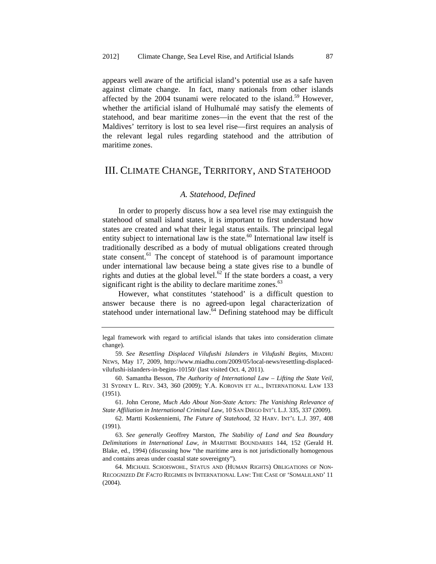appears well aware of the artificial island's potential use as a safe haven against climate change. In fact, many nationals from other islands affected by the  $2004$  tsunami were relocated to the island.<sup>59</sup> However, whether the artificial island of Hulhumalé may satisfy the elements of statehood, and bear maritime zones—in the event that the rest of the Maldives' territory is lost to sea level rise—first requires an analysis of the relevant legal rules regarding statehood and the attribution of maritime zones.

# III. CLIMATE CHANGE, TERRITORY, AND STATEHOOD

#### *A. Statehood, Defined*

In order to properly discuss how a sea level rise may extinguish the statehood of small island states, it is important to first understand how states are created and what their legal status entails. The principal legal entity subject to international law is the state. $60$  International law itself is traditionally described as a body of mutual obligations created through state consent.<sup>61</sup> The concept of statehood is of paramount importance under international law because being a state gives rise to a bundle of rights and duties at the global level.<sup>62</sup> If the state borders a coast, a very significant right is the ability to declare maritime zones. $63$ 

However, what constitutes 'statehood' is a difficult question to answer because there is no agreed-upon legal characterization of statehood under international law.<sup>64</sup> Defining statehood may be difficult

61. John Cerone, *Much Ado About Non-State Actors: The Vanishing Relevance of State Affiliation in International Criminal Law*, 10 SAN DIEGO INT'L L.J. 335, 337 (2009).

62. Martti Koskenniemi, *The Future of Statehood*, 32 HARV. INT'L L.J. 397, 408 (1991).

63. *See generally* Geoffrey Marston, *The Stability of Land and Sea Boundary Delimitations in International Law*, *in* MARITIME BOUNDARIES 144, 152 (Gerald H. Blake, ed., 1994) (discussing how "the maritime area is not jurisdictionally homogenous and contains areas under coastal state sovereignty").

64. MICHAEL SCHOISWOHL, STATUS AND (HUMAN RIGHTS) OBLIGATIONS OF NON-RECOGNIZED *DE FACTO* REGIMES IN INTERNATIONAL LAW: THE CASE OF 'SOMALILAND' 11 (2004).

legal framework with regard to artificial islands that takes into consideration climate change).

<sup>59.</sup> *See Resettling Displaced Vilufushi Islanders in Vilufushi Begins*, MIADHU NEWS, May 17, 2009, http://www.miadhu.com/2009/05/local-news/resettling-displacedvilufushi-islanders-in-begins-10150/ (last visited Oct. 4, 2011).

<sup>60.</sup> Samantha Besson, *The Authority of International Law – Lifting the State Veil*, 31 SYDNEY L. REV. 343, 360 (2009); Y.A. KOROVIN ET AL., INTERNATIONAL LAW 133 (1951).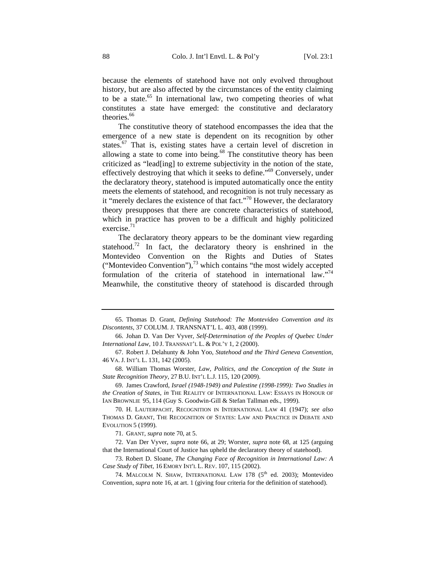because the elements of statehood have not only evolved throughout history, but are also affected by the circumstances of the entity claiming to be a state.<sup>65</sup> In international law, two competing theories of what constitutes a state have emerged: the constitutive and declaratory theories.<sup>66</sup>

The constitutive theory of statehood encompasses the idea that the emergence of a new state is dependent on its recognition by other states.<sup>67</sup> That is, existing states have a certain level of discretion in allowing a state to come into being.<sup>68</sup> The constitutive theory has been criticized as "lead[ing] to extreme subjectivity in the notion of the state, effectively destroying that which it seeks to define."69 Conversely, under the declaratory theory, statehood is imputed automatically once the entity meets the elements of statehood, and recognition is not truly necessary as it "merely declares the existence of that fact."<sup>70</sup> However, the declaratory theory presupposes that there are concrete characteristics of statehood, which in practice has proven to be a difficult and highly politicized exercise. $71$ 

The declaratory theory appears to be the dominant view regarding statehood.<sup>72</sup> In fact, the declaratory theory is enshrined in the Montevideo Convention on the Rights and Duties of States ("Montevideo Convention"), $^{73}$  which contains "the most widely accepted formulation of the criteria of statehood in international law."<sup>74</sup> Meanwhile, the constitutive theory of statehood is discarded through

68. William Thomas Worster, *Law, Politics, and the Conception of the State in State Recognition Theory*, 27 B.U. INT'L L.J. 115, 120 (2009).

69. James Crawford, *Israel (1948-1949) and Palestine (1998-1999): Two Studies in the Creation of States*, *in* THE REALITY OF INTERNATIONAL LAW: ESSAYS IN HONOUR OF IAN BROWNLIE 95, 114 (Guy S. Goodwin-Gill & Stefan Tallman eds., 1999).

70. H. LAUTERPACHT, RECOGNITION IN INTERNATIONAL LAW 41 (1947); *see also* THOMAS D. GRANT, THE RECOGNITION OF STATES: LAW AND PRACTICE IN DEBATE AND EVOLUTION 5 (1999).

71. GRANT, *supra* note 70, at 5.

72. Van Der Vyver, *supra* note 66, at 29; Worster, *supra* note 68, at 125 (arguing that the International Court of Justice has upheld the declaratory theory of statehood).

73. Robert D. Sloane, *The Changing Face of Recognition in International Law: A Case Study of Tibet*, 16 EMORY INT'L L. REV. 107, 115 (2002).

74. MALCOLM N. SHAW, INTERNATIONAL LAW 178 (5<sup>th</sup> ed. 2003); Montevideo Convention, *supra* note 16, at art. 1 (giving four criteria for the definition of statehood).

<sup>65.</sup> Thomas D. Grant, *Defining Statehood: The Montevideo Convention and its Discontents*, 37 COLUM. J. TRANSNAT'L L. 403, 408 (1999).

<sup>66.</sup> Johan D. Van Der Vyver, *Self-Determination of the Peoples of Quebec Under International Law*, 10 J. TRANSNAT'L L. & POL'Y 1, 2 (2000).

<sup>67.</sup> Robert J. Delahunty & John Yoo, *Statehood and the Third Geneva Convention*, 46 VA. J. INT'L L. 131, 142 (2005).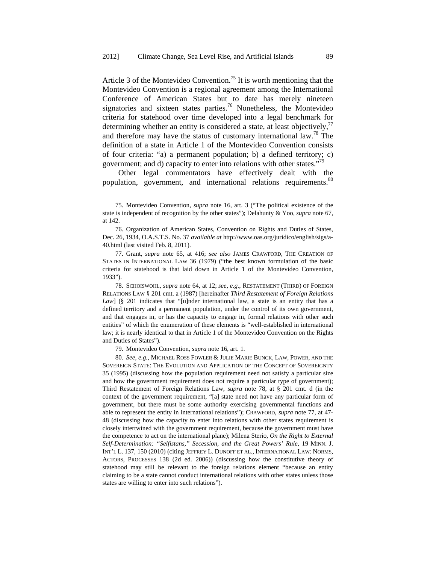Article 3 of the Montevideo Convention.<sup>75</sup> It is worth mentioning that the Montevideo Convention is a regional agreement among the International Conference of American States but to date has merely nineteen signatories and sixteen states parties.<sup>76</sup> Nonetheless, the Montevideo criteria for statehood over time developed into a legal benchmark for determining whether an entity is considered a state, at least objectively, $^{77}$ and therefore may have the status of customary international law.78 The definition of a state in Article 1 of the Montevideo Convention consists of four criteria: "a) a permanent population; b) a defined territory; c) government; and d) capacity to enter into relations with other states."79

Other legal commentators have effectively dealt with the population, government, and international relations requirements.<sup>80</sup>

78. SCHOISWOHL, *supra* note 64, at 12; *see, e.g.*, RESTATEMENT (THIRD) OF FOREIGN RELATIONS LAW § 201 cmt. a (1987) [hereinafter *Third Restatement of Foreign Relations*  Law] (§ 201 indicates that "[u]nder international law, a state is an entity that has a defined territory and a permanent population, under the control of its own government, and that engages in, or has the capacity to engage in, formal relations with other such entities" of which the enumeration of these elements is "well-established in international law; it is nearly identical to that in Article 1 of the Montevideo Convention on the Rights and Duties of States").

79. Montevideo Convention, *supra* note 16, art. 1.

<sup>75.</sup> Montevideo Convention, *supra* note 16, art. 3 ("The political existence of the state is independent of recognition by the other states"); Delahunty & Yoo, *supra* note 67, at 142.

<sup>76.</sup> Organization of American States, Convention on Rights and Duties of States, Dec. 26, 1934, O.A.S.T.S. No. 37 *available at* http://www.oas.org/juridico/english/sigs/a-40.html (last visited Feb. 8, 2011).

<sup>77.</sup> Grant, *supra* note 65, at 416; *see also* JAMES CRAWFORD, THE CREATION OF STATES IN INTERNATIONAL LAW 36 (1979) ("the best known formulation of the basic criteria for statehood is that laid down in Article 1 of the Montevideo Convention, 1933").

<sup>80.</sup> *See, e.g.*, MICHAEL ROSS FOWLER & JULIE MARIE BUNCK, LAW, POWER, AND THE SOVEREIGN STATE: THE EVOLUTION AND APPLICATION OF THE CONCEPT OF SOVEREIGNTY 35 (1995) (discussing how the population requirement need not satisfy a particular size and how the government requirement does not require a particular type of government); Third Restatement of Foreign Relations Law, *supra* note 78, at § 201 cmt. d (in the context of the government requirement, "[a] state need not have any particular form of government, but there must be some authority exercising governmental functions and able to represent the entity in international relations"); CRAWFORD, *supra* note 77, at 47- 48 (discussing how the capacity to enter into relations with other states requirement is closely intertwined with the government requirement, because the government must have the competence to act on the international plane); Milena Sterio, *On the Right to External Self-Determination: "Selfistans," Secession, and the Great Powers' Rule*, 19 MINN. J. INT'L L. 137, 150 (2010) (citing JEFFREY L. DUNOFF ET AL., INTERNATIONAL LAW: NORMS, ACTORS, PROCESSES 138 (2d ed. 2006)) (discussing how the constitutive theory of statehood may still be relevant to the foreign relations element "because an entity claiming to be a state cannot conduct international relations with other states unless those states are willing to enter into such relations").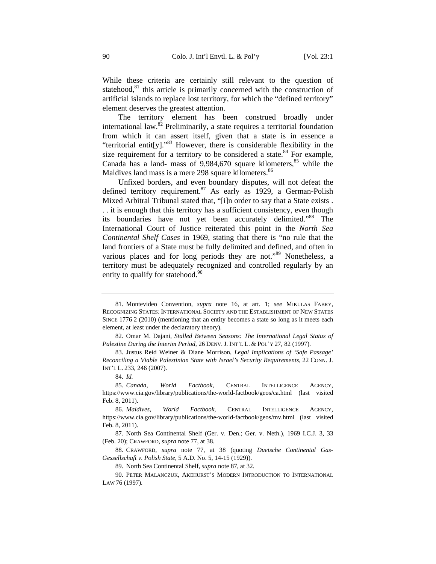While these criteria are certainly still relevant to the question of statehood, $81$  this article is primarily concerned with the construction of artificial islands to replace lost territory, for which the "defined territory" element deserves the greatest attention.

The territory element has been construed broadly under international law.<sup>82</sup> Preliminarily, a state requires a territorial foundation from which it can assert itself, given that a state is in essence a "territorial entit[y]."<sup>83</sup> However, there is considerable flexibility in the size requirement for a territory to be considered a state.<sup>84</sup> For example, Canada has a land- mass of  $9,984,670$  square kilometers,  $85$  while the Maldives land mass is a mere 298 square kilometers.<sup>86</sup>

Unfixed borders, and even boundary disputes, will not defeat the defined territory requirement.<sup>87</sup> As early as 1929, a German-Polish Mixed Arbitral Tribunal stated that, "[i]n order to say that a State exists . . . it is enough that this territory has a sufficient consistency, even though its boundaries have not yet been accurately delimited."<sup>88</sup> The International Court of Justice reiterated this point in the *North Sea Continental Shelf Cases* in 1969, stating that there is "no rule that the land frontiers of a State must be fully delimited and defined, and often in various places and for long periods they are not."<sup>89</sup> Nonetheless, a territory must be adequately recognized and controlled regularly by an entity to qualify for statehood. $90$ 

<sup>81.</sup> Montevideo Convention, *supra* note 16, at art. 1; *see* MIKULAS FABRY, RECOGNIZING STATES: INTERNATIONAL SOCIETY AND THE ESTABLISHMENT OF NEW STATES SINCE 1776 2 (2010) (mentioning that an entity becomes a state so long as it meets each element, at least under the declaratory theory).

<sup>82.</sup> Omar M. Dajani, *Stalled Between Seasons: The International Legal Status of Palestine During the Interim Period*, 26 DENV. J. INT'L L. & POL'Y 27, 82 (1997).

<sup>83.</sup> Justus Reid Weiner & Diane Morrison, *Legal Implications of 'Safe Passage' Reconciling a Viable Palestinian State with Israel's Security Requirements*, 22 CONN. J. INT'L L. 233, 246 (2007).

<sup>84.</sup> *Id.*

<sup>85.</sup> *Canada, World Factbook*, CENTRAL INTELLIGENCE AGENCY, https://www.cia.gov/library/publications/the-world-factbook/geos/ca.html (last visited Feb. 8, 2011).

<sup>86.</sup> *Maldives, World Factbook*, CENTRAL INTELLIGENCE AGENCY, https://www.cia.gov/library/publications/the-world-factbook/geos/mv.html (last visited Feb. 8, 2011).

<sup>87.</sup> North Sea Continental Shelf (Ger. v. Den.; Ger. v. Neth.), 1969 I.C.J. 3, 33 (Feb. 20); CRAWFORD, *supra* note 77, at 38.

<sup>88.</sup> CRAWFORD, *supra* note 77, at 38 (quoting *Duetsche Continental Gas-Gessellschaft v. Polish State*, 5 A.D. No. 5, 14-15 (1929)).

<sup>89.</sup> North Sea Continental Shelf, *supra* note 87, at 32.

<sup>90.</sup> PETER MALANCZUK, AKEHURST'S MODERN INTRODUCTION TO INTERNATIONAL LAW 76 (1997).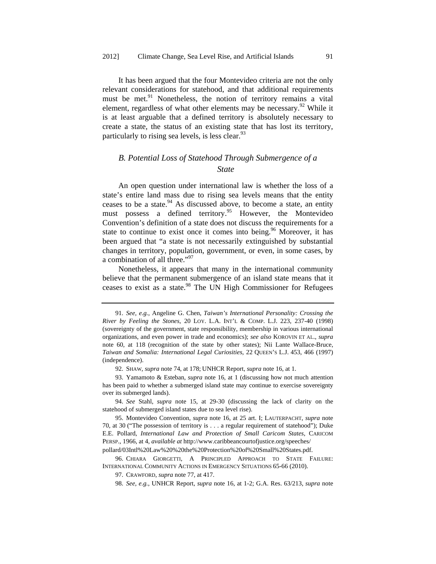It has been argued that the four Montevideo criteria are not the only relevant considerations for statehood, and that additional requirements must be met.<sup>91</sup> Nonetheless, the notion of territory remains a vital element, regardless of what other elements may be necessary.<sup>92</sup> While it is at least arguable that a defined territory is absolutely necessary to create a state, the status of an existing state that has lost its territory, particularly to rising sea levels, is less clear.<sup>93</sup>

# *B. Potential Loss of Statehood Through Submergence of a State*

An open question under international law is whether the loss of a state's entire land mass due to rising sea levels means that the entity ceases to be a state. $94$  As discussed above, to become a state, an entity must possess a defined territory.<sup>95</sup> However, the Montevideo Convention's definition of a state does not discuss the requirements for a state to continue to exist once it comes into being.<sup>96</sup> Moreover, it has been argued that "a state is not necessarily extinguished by substantial changes in territory, population, government, or even, in some cases, by a combination of all three."<sup>97</sup>

Nonetheless, it appears that many in the international community believe that the permanent submergence of an island state means that it ceases to exist as a state.<sup>98</sup> The UN High Commissioner for Refugees

<sup>91.</sup> *See, e.g.*, Angeline G. Chen, *Taiwan's International Personality: Crossing the River by Feeling the Stones*, 20 LOY. L.A. INT'L & COMP. L.J. 223, 237-40 (1998) (sovereignty of the government, state responsibility, membership in various international organizations, and even power in trade and economics); *see also* KOROVIN ET AL., *supra* note 60, at 118 (recognition of the state by other states); Nii Lante Wallace-Bruce, *Taiwan and Somalia: International Legal Curiosities*, 22 QUEEN'S L.J. 453, 466 (1997) (independence).

<sup>92.</sup> SHAW, *supra* note 74, at 178; UNHCR Report, *supra* note 16, at 1.

<sup>93.</sup> Yamamoto & Esteban, *supra* note 16, at 1 (discussing how not much attention has been paid to whether a submerged island state may continue to exercise sovereignty over its submerged lands).

<sup>94.</sup> *See* Stahl, *supra* note 15, at 29-30 (discussing the lack of clarity on the statehood of submerged island states due to sea level rise).

<sup>95.</sup> Montevideo Convention, *supra* note 16, at 25 art. I; LAUTERPACHT, *supra* note 70, at 30 ("The possession of territory is . . . a regular requirement of statehood"); Duke E.E. Pollard, *International Law and Protection of Small Caricom States*, CARICOM PERSP., 1966, at 4, *available at* http://www.caribbeancourtofjustice.org/speeches/ pollard/03Intl%20Law%20%20the%20Protection%20of%20Small%20States.pdf.

<sup>96.</sup> CHIARA GIORGETTI, A PRINCIPLED APPROACH TO STATE FAILURE: INTERNATIONAL COMMUNITY ACTIONS IN EMERGENCY SITUATIONS 65-66 (2010).

<sup>97.</sup> CRAWFORD, *supra* note 77, at 417.

<sup>98.</sup> *See, e.g.*, UNHCR Report, *supra* note 16, at 1-2; G.A. Res. 63/213, *supra* note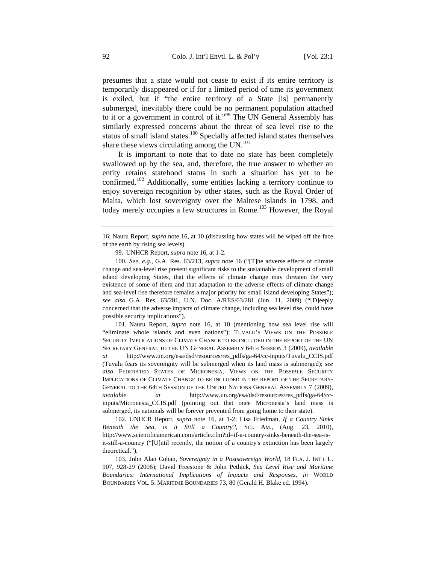presumes that a state would not cease to exist if its entire territory is temporarily disappeared or if for a limited period of time its government is exiled, but if "the entire territory of a State [is] permanently submerged, inevitably there could be no permanent population attached to it or a government in control of it."<sup>99</sup> The UN General Assembly has similarly expressed concerns about the threat of sea level rise to the status of small island states.<sup>100</sup> Specially affected island states themselves share these views circulating among the  $UN<sup>101</sup>$ 

It is important to note that to date no state has been completely swallowed up by the sea, and, therefore, the true answer to whether an entity retains statehood status in such a situation has yet to be confirmed.102 Additionally, some entities lacking a territory continue to enjoy sovereign recognition by other states, such as the Royal Order of Malta, which lost sovereignty over the Maltese islands in 1798, and today merely occupies a few structures in Rome.<sup>103</sup> However, the Royal

101. Nauru Report, *supra* note 16, at 10 (mentioning how sea level rise will "eliminate whole islands and even nations"); TUVALU'S VIEWS ON THE POSSIBLE SECURITY IMPLICATIONS OF CLIMATE CHANGE TO BE INCLUDED IN THE REPORT OF THE UN SECRETARY GENERAL TO THE UN GENERAL ASSEMBLY 64TH SESSION 3 (2009), *available at* http://www.un.org/esa/dsd/resources/res\_pdfs/ga-64/cc-inputs/Tuvalu\_CCIS.pdf (Tuvalu fears its sovereignty will be submerged when its land mass is submerged); *see also* FEDERATED STATES OF MICRONESIA, VIEWS ON THE POSSIBLE SECURITY IMPLICATIONS OF CLIMATE CHANGE TO BE INCLUDED IN THE REPORT OF THE SECRETARY-GENERAL TO THE 64TH SESSION OF THE UNITED NATIONS GENERAL ASSEMBLY 7 (2009), *available at* http://www.un.org/esa/dsd/resources/res\_pdfs/ga-64/ccinputs/Micronesia\_CCIS.pdf (pointing out that once Micronesia's land mass is submerged, its nationals will be forever prevented from going home to their state).

102. UNHCR Report, *supra* note 16, at 1-2; Lisa Friedman, *If a Country Sinks Beneath the Sea, is it Still a Country?*, SCI. AM., (Aug. 23, 2010), http://www.scientificamerican.com/article.cfm?id=if-a-country-sinks-beneath-the-sea-isit-still-a-country ("[U]ntil recently, the notion of a country's extinction has been largely theoretical.").

103. John Alan Cohan, *Sovereignty in a Postsovereign World*, 18 FLA. J. INT'L L. 907, 928-29 (2006); David Freestone & John Pethick, *Sea Level Rise and Maritime Boundaries: International Implications of Impacts and Responses*, *in* WORLD BOUNDARIES VOL. 5: MARITIME BOUNDARIES 73, 80 (Gerald H. Blake ed. 1994).

<sup>16;</sup> Nauru Report, *supra* note 16, at 10 (discussing how states will be wiped off the face of the earth by rising sea levels).

<sup>99.</sup> UNHCR Report, *supra* note 16, at 1-2.

<sup>100.</sup> *See, e.g.*, G.A. Res. 63/213, *supra* note 16 ("[T]he adverse effects of climate change and sea-level rise present significant risks to the sustainable development of small island developing States, that the effects of climate change may threaten the very existence of some of them and that adaptation to the adverse effects of climate change and sea-level rise therefore remains a major priority for small island developing States"); *see also* G.A. Res. 63/281, U.N. Doc. A/RES/63/281 (Jun. 11, 2009) ("[D]eeply concerned that the adverse impacts of climate change, including sea level rise, could have possible security implications").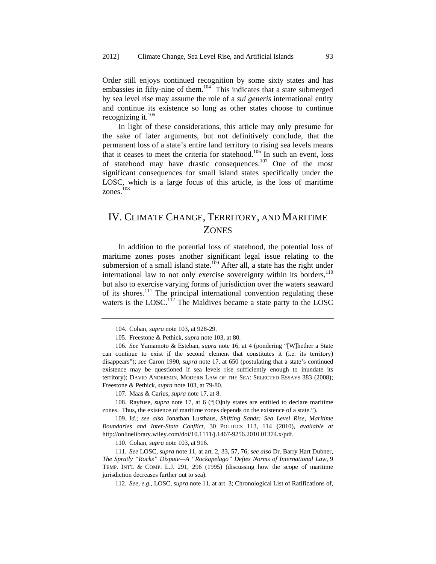Order still enjoys continued recognition by some sixty states and has embassies in fifty-nine of them.<sup>104</sup> This indicates that a state submerged by sea level rise may assume the role of a *sui generis* international entity and continue its existence so long as other states choose to continue recognizing it. $105$ 

In light of these considerations, this article may only presume for the sake of later arguments, but not definitively conclude, that the permanent loss of a state's entire land territory to rising sea levels means that it ceases to meet the criteria for statehood.<sup>106</sup> In such an event, loss of statehood may have drastic consequences.<sup>107</sup> One of the most significant consequences for small island states specifically under the LOSC, which is a large focus of this article, is the loss of maritime zones. $^{108}$ 

# IV. CLIMATE CHANGE, TERRITORY, AND MARITIME ZONES

In addition to the potential loss of statehood, the potential loss of maritime zones poses another significant legal issue relating to the submersion of a small island state.<sup>109</sup> After all, a state has the right under international law to not only exercise sovereignty within its borders, $110$ but also to exercise varying forms of jurisdiction over the waters seaward of its shores.111 The principal international convention regulating these waters is the LOSC.<sup>112</sup> The Maldives became a state party to the LOSC

107. Maas & Carius, *supra* note 17, at 8.

108. Rayfuse, *supra* note 17, at 6 ("[O]nly states are entitled to declare maritime zones. Thus, the existence of maritime zones depends on the existence of a state.").

109. *Id.*; *see also* Jonathan Lusthaus, *Shifting Sands: Sea Level Rise, Maritime Boundaries and Inter-State Conflict*, 30 POLITICS 113, 114 (2010), *available at* http://onlinelibrary.wiley.com/doi/10.1111/j.1467-9256.2010.01374.x/pdf.

110. Cohan, *supra* note 103, at 916.

111. *See* LOSC, *supra* note 11, at art. 2, 33, 57, 76; *see also* Dr. Barry Hart Dubner, *The Spratly "Rocks" Dispute—A "Rockapelago" Defies Norms of International Law*, 9 TEMP. INT'L & COMP. L.J. 291, 296 (1995) (discussing how the scope of maritime jurisdiction decreases further out to sea).

112. *See, e.g.*, LOSC, *supra* note 11, at art. 3; Chronological List of Ratifications of,

<sup>104.</sup> Cohan, *supra* note 103, at 928-29.

<sup>105.</sup> Freestone & Pethick, *supra* note 103, at 80.

<sup>106.</sup> *See* Yamamoto & Esteban, *supra* note 16, at 4 (pondering "[W]hether a State can continue to exist if the second element that constitutes it (i.e. its territory) disappears"); *see* Caron 1990, *supra* note 17, at 650 (postulating that a state's continued existence may be questioned if sea levels rise sufficiently enough to inundate its territory); DAVID ANDERSON, MODERN LAW OF THE SEA: SELECTED ESSAYS 383 (2008); Freestone & Pethick, *supra* note 103, at 79-80.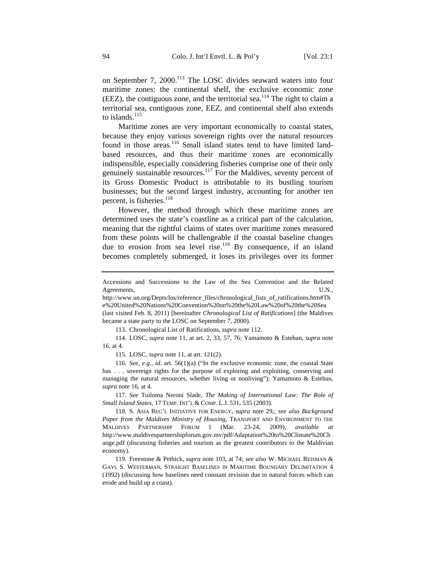on September 7, 2000.<sup>113</sup> The LOSC divides seaward waters into four maritime zones: the continental shelf, the exclusive economic zone (EEZ), the contiguous zone, and the territorial sea.<sup>114</sup> The right to claim a territorial sea, contiguous zone, EEZ, and continental shelf also extends to islands. $^{115}$ 

Maritime zones are very important economically to coastal states, because they enjoy various sovereign rights over the natural resources found in those areas.<sup>116</sup> Small island states tend to have limited landbased resources, and thus their maritime zones are economically indispensible, especially considering fisheries comprise one of their only genuinely sustainable resources.<sup>117</sup> For the Maldives, seventy percent of its Gross Domestic Product is attributable to its bustling tourism businesses; but the second largest industry, accounting for another ten percent, is fisheries. $^{118}$ 

However, the method through which these maritime zones are determined uses the state's coastline as a critical part of the calculation, meaning that the rightful claims of states over maritime zones measured from these points will be challengeable if the coastal baseline changes due to erosion from sea level rise.<sup>119</sup> By consequence, if an island becomes completely submerged, it loses its privileges over its former

113. Chronological List of Ratifications, *supra* note 112.

114. LOSC, *supra* note 11, at art. 2, 33, 57, 76; Yamamoto & Esteban, *supra* note 16, at 4.

115. LOSC, *supra* note 11, at art. 121(2).

116. *See, e.g.*, *id.* art. 56(1)(a) ("In the exclusive economic zone, the coastal State has . . . sovereign rights for the purpose of exploring and exploiting, conserving and managing the natural resources, whether living or nonliving"); Yamamoto & Esteban, *supra* note 16, at 4.

117. *See* Tuiloma Neroni Slade, *The Making of International Law: The Role of Small Island States*, 17 TEMP. INT'L & COMP. L.J. 531, 535 (2003).

118. S. ASIA REG'L INITIATIVE FOR ENERGY, *supra* note 29,; *see also Background Paper from the Maldives Ministry of Housing*, TRANSPORT AND ENVIRONMENT TO THE MALDIVES PARTNERSHIP FORUM 1 (Mar. 23-24, 2009), *available at* http://www.maldivespartnershipforum.gov.mv/pdf/Adaptation%20to%20Climate%20Ch ange.pdf (discussing fisheries and tourism as the greatest contributors to the Maldivian economy).

119. Freestone & Pethick, *supra* note 103, at 74; *see also* W. MICHAEL REISMAN & GAYL S. WESTERMAN, STRAIGHT BASELINES IN MARITIME BOUNDARY DELIMITATION 4 (1992) (discussing how baselines need constant revision due to natural forces which can erode and build up a coast).

Accessions and Successions to the Law of the Sea Convention and the Related Agreements, U.N.,

http://www.un.org/Depts/los/reference\_files/chronological\_lists\_of\_ratifications.htm#Th e%20United%20Nations%20Convention%20on%20the%20Law%20of%20the%20Sea (last visited Feb. 8, 2011) [hereinafter *Chronological List of Ratifications*] (the Maldives became a state party to the LOSC on September 7, 2000).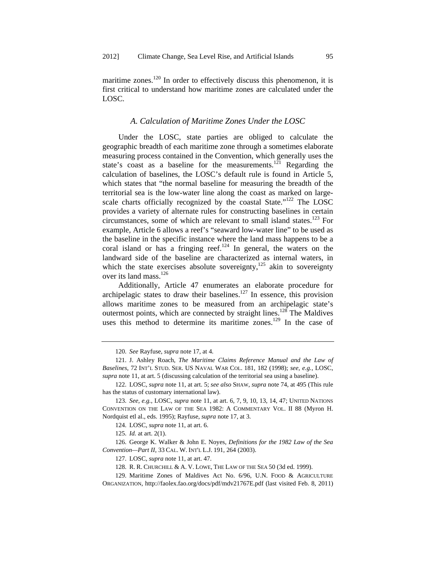maritime zones.<sup>120</sup> In order to effectively discuss this phenomenon, it is first critical to understand how maritime zones are calculated under the LOSC.

### *A. Calculation of Maritime Zones Under the LOSC*

Under the LOSC, state parties are obliged to calculate the geographic breadth of each maritime zone through a sometimes elaborate measuring process contained in the Convention, which generally uses the state's coast as a baseline for the measurements.<sup>121</sup> Regarding the calculation of baselines, the LOSC's default rule is found in Article 5, which states that "the normal baseline for measuring the breadth of the territorial sea is the low-water line along the coast as marked on largescale charts officially recognized by the coastal State."<sup>122</sup> The LOSC provides a variety of alternate rules for constructing baselines in certain circumstances, some of which are relevant to small island states.<sup>123</sup> For example, Article 6 allows a reef's "seaward low-water line" to be used as the baseline in the specific instance where the land mass happens to be a coral island or has a fringing reef. $124$  In general, the waters on the landward side of the baseline are characterized as internal waters, in which the state exercises absolute sovereignty, $125$  akin to sovereignty over its land mass.<sup>126</sup>

Additionally, Article 47 enumerates an elaborate procedure for archipelagic states to draw their baselines.<sup>127</sup> In essence, this provision allows maritime zones to be measured from an archipelagic state's outermost points, which are connected by straight lines.<sup>128</sup> The Maldives uses this method to determine its maritime zones.<sup>129</sup> In the case of

<sup>120.</sup> *See* Rayfuse, *supra* note 17, at 4.

<sup>121.</sup> J. Ashley Roach, *The Maritime Claims Reference Manual and the Law of Baselines*, 72 INT'L STUD. SER. US NAVAL WAR COL. 181, 182 (1998); *see, e.g.*, LOSC, *supra* note 11, at art. 5 (discussing calculation of the territorial sea using a baseline).

<sup>122.</sup> LOSC, *supra* note 11, at art. 5; *see also* SHAW, *supra* note 74, at 495 (This rule has the status of customary international law).

<sup>123.</sup> *See, e.g.*, LOSC, *supra* note 11, at art. 6, 7, 9, 10, 13, 14, 47; UNITED NATIONS CONVENTION ON THE LAW OF THE SEA 1982: A COMMENTARY VOL. II 88 (Myron H. Nordquist etl al., eds. 1995); Rayfuse, *supra* note 17, at 3.

<sup>124.</sup> LOSC, *supra* note 11, at art. 6.

<sup>125.</sup> *Id.* at art. 2(1).

<sup>126.</sup> George K. Walker & John E. Noyes, *Definitions for the 1982 Law of the Sea Convention—Part II*, 33 CAL. W. INT'L L.J. 191, 264 (2003).

<sup>127.</sup> LOSC, *supra* note 11, at art. 47.

<sup>128.</sup> R. R. CHURCHILL & A. V. LOWE, THE LAW OF THE SEA 50 (3d ed. 1999).

<sup>129.</sup> Maritime Zones of Maldives Act No. 6/96, U.N. FOOD & AGRICULTURE ORGANIZATION, http://faolex.fao.org/docs/pdf/mdv21767E.pdf (last visited Feb. 8, 2011)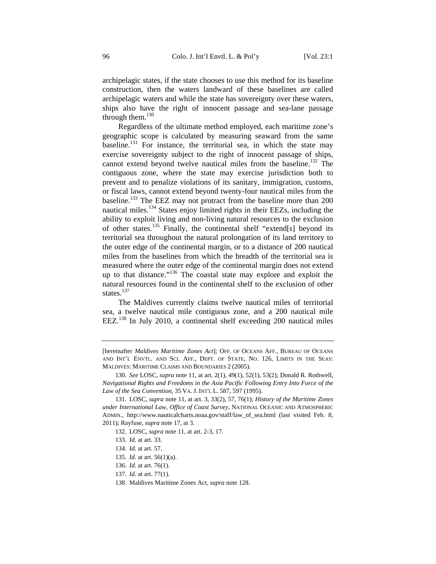archipelagic states, if the state chooses to use this method for its baseline construction, then the waters landward of these baselines are called archipelagic waters and while the state has sovereignty over these waters, ships also have the right of innocent passage and sea-lane passage through them.<sup>130</sup>

Regardless of the ultimate method employed, each maritime zone's geographic scope is calculated by measuring seaward from the same baseline.<sup>131</sup> For instance, the territorial sea, in which the state may exercise sovereignty subject to the right of innocent passage of ships, cannot extend beyond twelve nautical miles from the baseline.<sup>132</sup> The contiguous zone, where the state may exercise jurisdiction both to prevent and to penalize violations of its sanitary, immigration, customs, or fiscal laws, cannot extend beyond twenty-four nautical miles from the baseline.133 The EEZ may not protract from the baseline more than 200 nautical miles.134 States enjoy limited rights in their EEZs, including the ability to exploit living and non-living natural resources to the exclusion of other states.135 Finally, the continental shelf "extend[s] beyond its territorial sea throughout the natural prolongation of its land territory to the outer edge of the continental margin, or to a distance of 200 nautical miles from the baselines from which the breadth of the territorial sea is measured where the outer edge of the continental margin does not extend up to that distance."136 The coastal state may explore and exploit the natural resources found in the continental shelf to the exclusion of other states.<sup>137</sup>

The Maldives currently claims twelve nautical miles of territorial sea, a twelve nautical mile contiguous zone, and a 200 nautical mile EEZ.138 In July 2010, a continental shelf exceeding 200 nautical miles

- 134. *Id.* at art. 57.
- 135. *Id.* at art. 56(1)(a).
- 136. *Id.* at art. 76(1).
- 137. *Id.* at art. 77(1).
- 138. Maldives Maritime Zones Act, *supra* note 128.

<sup>[</sup>hereinafter *Maldives Maritime Zones Act*]; OFF. OF OCEANS AFF., BUREAU OF OCEANS AND INT'L ENVTL. AND SCI. AFF., DEPT. OF STATE, NO. 126, LIMITS IN THE SEAS: MALDIVES: MARITIME CLAIMS AND BOUNDARIES 2 (2005).

<sup>130.</sup> *See* LOSC, *supra* note 11, at art. 2(1), 49(1), 52(1), 53(2); Donald R. Rothwell, *Navigational Rights and Freedoms in the Asia Pacific Following Entry Into Force of the Law of the Sea Convention*, 35 VA. J. INT'L L. 587, 597 (1995).

<sup>131.</sup> LOSC, *supra* note 11, at art. 3, 33(2), 57, 76(1); *History of the Maritime Zones under International Law, Office of Coast Survey*, NATIONAL OCEANIC AND ATMOSPHERIC ADMIN., http://www.nauticalcharts.noaa.gov/staff/law\_of\_sea.html (last visited Feb. 8, 2011); Rayfuse, *supra* note 17, at 3.

<sup>132.</sup> LOSC, *supra* note 11, at art. 2-3, 17.

<sup>133.</sup> *Id.* at art. 33.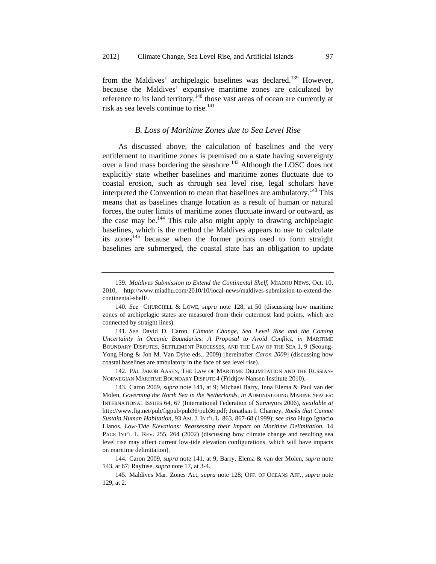from the Maldives' archipelagic baselines was declared.<sup>139</sup> However, because the Maldives' expansive maritime zones are calculated by reference to its land territory,<sup>140</sup> those vast areas of ocean are currently at risk as sea levels continue to rise.<sup>141</sup>

### *B. Loss of Maritime Zones due to Sea Level Rise*

As discussed above, the calculation of baselines and the very entitlement to maritime zones is premised on a state having sovereignty over a land mass bordering the seashore.<sup>142</sup> Although the LOSC does not explicitly state whether baselines and maritime zones fluctuate due to coastal erosion, such as through sea level rise, legal scholars have interpreted the Convention to mean that baselines are ambulatory.<sup>143</sup> This means that as baselines change location as a result of human or natural forces, the outer limits of maritime zones fluctuate inward or outward, as the case may be. $144$  This rule also might apply to drawing archipelagic baselines, which is the method the Maldives appears to use to calculate its zones<sup>145</sup> because when the former points used to form straight baselines are submerged, the coastal state has an obligation to update

142. PÅL JAKOB AASEN, THE LAW OF MARITIME DELIMITATION AND THE RUSSIAN-NORWEGIAN MARITIME BOUNDARY DISPUTE 4 (Fridtjov Nansen Institute 2010).

143. Caron 2009, *supra* note 141, at 9; Michael Barry, Inna Elema & Paul van der Molen, *Governing the North Sea in the Netherlands*, *in* ADMINISTERING MARINE SPACES: INTERNATIONAL ISSUES 64, 67 (International Federation of Surveyors 2006), *available at* http://www.fig.net/pub/figpub/pub36/pub36.pdf; Jonathan I. Charney, *Rocks that Cannot Sustain Human Habitation*, 93 AM. J. INT'L L. 863, 867-68 (1999); *see also* Hugo Ignacio Llanos, *Low-Tide Elevations: Reassessing their Impact on Maritime Delimitation*, 14 PACE INT'L L. REV. 255, 264 (2002) (discussing how climate change and resulting sea level rise may affect current low-tide elevation configurations, which will have impacts on maritime delimitation).

144. Caron 2009, *supra* note 141, at 9; Barry, Elema & van der Molen, *supra* note 143, at 67; Rayfuse, *supra* note 17, at 3-4.

145. Maldives Mar. Zones Act, *supra* note 128; OFF. OF OCEANS AFF., *supra* note 129, at 2.

<sup>139.</sup> *Maldives Submission to Extend the Continental Shelf*, MIADHU NEWS, Oct. 10, 2010, http://www.miadhu.com/2010/10/local-news/maldives-submission-to-extend-thecontinental-shelf/.

<sup>140.</sup> *See* CHURCHILL & LOWE, *supra* note 128, at 50 (discussing how maritime zones of archipelagic states are measured from their outermost land points, which are connected by straight lines).

<sup>141.</sup> *See* David D. Caron, *Climate Change, Sea Level Rise and the Coming Uncertainty in Oceanic Boundaries: A Proposal to Avoid Conflict*, *in* MARITIME BOUNDARY DISPUTES, SETTLEMENT PROCESSES, AND THE LAW OF THE SEA 1, 9 (Seoung-Yong Hong & Jon M. Van Dyke eds., 2009) [hereinafter *Caron 2009*] (discussing how coastal baselines are ambulatory in the face of sea level rise).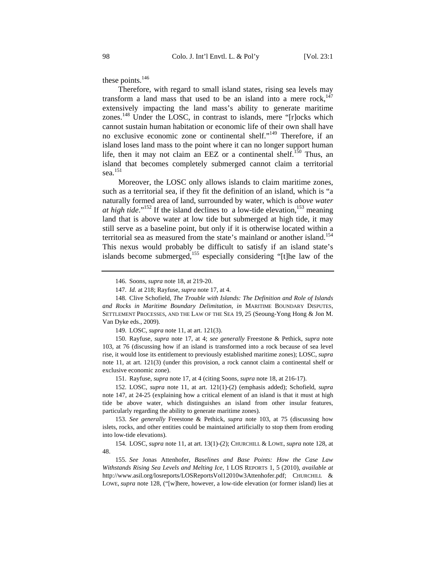these points.<sup>146</sup>

Therefore, with regard to small island states, rising sea levels may transform a land mass that used to be an island into a mere rock, $147$ extensively impacting the land mass's ability to generate maritime zones.148 Under the LOSC, in contrast to islands, mere "[r]ocks which cannot sustain human habitation or economic life of their own shall have no exclusive economic zone or continental shelf."149 Therefore, if an island loses land mass to the point where it can no longer support human life, then it may not claim an EEZ or a continental shelf.<sup>150</sup> Thus, an island that becomes completely submerged cannot claim a territorial sea.151

Moreover, the LOSC only allows islands to claim maritime zones, such as a territorial sea, if they fit the definition of an island, which is "a naturally formed area of land, surrounded by water, which is *above water at high tide*."<sup>152</sup> If the island declines to a low-tide elevation, <sup>153</sup> meaning land that is above water at low tide but submerged at high tide, it may still serve as a baseline point, but only if it is otherwise located within a territorial sea as measured from the state's mainland or another island.<sup>154</sup> This nexus would probably be difficult to satisfy if an island state's islands become submerged,<sup>155</sup> especially considering " $[t]$ he law of the

149. LOSC, *supra* note 11, at art. 121(3).

150. Rayfuse, *supra* note 17, at 4; *see generally* Freestone & Pethick, *supra* note 103, at 76 (discussing how if an island is transformed into a rock because of sea level rise, it would lose its entitlement to previously established maritime zones); LOSC, *supra* note 11, at art. 121(3) (under this provision, a rock cannot claim a continental shelf or exclusive economic zone).

151. Rayfuse, *supra* note 17, at 4 (citing Soons, *supra* note 18, at 216-17).

152. LOSC, *supra* note 11, at art. 121(1)-(2) (emphasis added); Schofield, *supra* note 147, at 24-25 (explaining how a critical element of an island is that it must at high tide be above water, which distinguishes an island from other insular features, particularly regarding the ability to generate maritime zones).

153. *See generally* Freestone & Pethick, *supra* note 103, at 75 (discussing how islets, rocks, and other entities could be maintained artificially to stop them from eroding into low-tide elevations).

154. LOSC, *supra* note 11, at art. 13(1)-(2); CHURCHILL & LOWE, *supra* note 128, at 48.

155. *See* Jonas Attenhofer, *Baselines and Base Points: How the Case Law Withstands Rising Sea Levels and Melting Ice*, 1 LOS REPORTS 1, 5 (2010), *available at* http://www.asil.org/losreports/LOSReportsVol12010w3Attenhofer.pdf; CHURCHILL & Lowe, *supra* note 128, ("[w]here, however, a low-tide elevation (or former island) lies at

<sup>146.</sup> Soons, *supra* note 18, at 219-20.

<sup>147.</sup> *Id.* at 218; Rayfuse, *supra* note 17, at 4.

<sup>148.</sup> Clive Schofield, *The Trouble with Islands: The Definition and Role of Islands and Rocks in Maritime Boundary Delimitation*, *in* MARITIME BOUNDARY DISPUTES, SETTLEMENT PROCESSES, AND THE LAW OF THE SEA 19, 25 (Seoung-Yong Hong & Jon M. Van Dyke eds., 2009).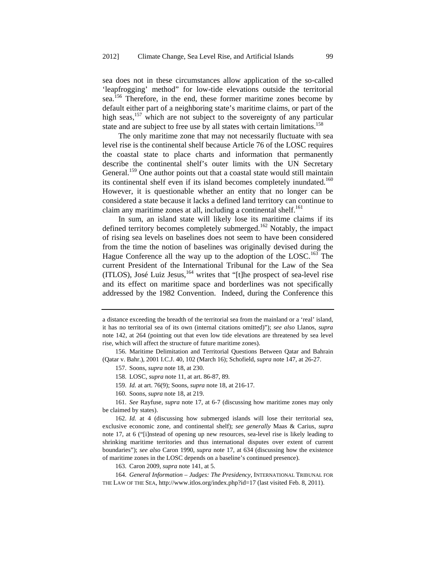sea does not in these circumstances allow application of the so-called 'leapfrogging' method" for low-tide elevations outside the territorial sea.156 Therefore, in the end, these former maritime zones become by default either part of a neighboring state's maritime claims, or part of the high seas, $157$  which are not subject to the sovereignty of any particular state and are subject to free use by all states with certain limitations.<sup>158</sup>

The only maritime zone that may not necessarily fluctuate with sea level rise is the continental shelf because Article 76 of the LOSC requires the coastal state to place charts and information that permanently describe the continental shelf's outer limits with the UN Secretary General.<sup>159</sup> One author points out that a coastal state would still maintain its continental shelf even if its island becomes completely inundated.<sup>160</sup> However, it is questionable whether an entity that no longer can be considered a state because it lacks a defined land territory can continue to claim any maritime zones at all, including a continental shelf. $^{161}$ 

In sum, an island state will likely lose its maritime claims if its defined territory becomes completely submerged.<sup>162</sup> Notably, the impact of rising sea levels on baselines does not seem to have been considered from the time the notion of baselines was originally devised during the Hague Conference all the way up to the adoption of the LOSC.<sup>163</sup> The current President of the International Tribunal for the Law of the Sea (ITLOS), José Luiz Jesus, $164$  writes that "[t]he prospect of sea-level rise and its effect on maritime space and borderlines was not specifically addressed by the 1982 Convention. Indeed, during the Conference this

- 158. LOSC, *supra* note 11, at art. 86-87, 89.
- 159. *Id.* at art. 76(9); Soons, *supra* note 18, at 216-17.
- 160. Soons, *supra* note 18, at 219.

163. Caron 2009, *supra* note 141, at 5.

164. *General Information – Judges: The Presidency*, INTERNATIONAL TRIBUNAL FOR THE LAW OF THE SEA, http://www.itlos.org/index.php?id=17 (last visited Feb. 8, 2011).

a distance exceeding the breadth of the territorial sea from the mainland or a 'real' island, it has no territorial sea of its own (internal citations omitted)"); *see also* Llanos, *supra* note 142, at 264 (pointing out that even low tide elevations are threatened by sea level rise, which will affect the structure of future maritime zones).

<sup>156.</sup> Maritime Delimitation and Territorial Questions Between Qatar and Bahrain (Qatar v. Bahr.), 2001 I.C.J. 40, 102 (March 16); Schofield, *supra* note 147, at 26-27.

<sup>157.</sup> Soons, *supra* note 18, at 230.

<sup>161.</sup> *See* Rayfuse, *supra* note 17, at 6-7 (discussing how maritime zones may only be claimed by states).

<sup>162.</sup> *Id.* at 4 (discussing how submerged islands will lose their territorial sea, exclusive economic zone, and continental shelf); *see generally* Maas & Carius, *supra* note 17, at 6 ("[i]nstead of opening up new resources, sea-level rise is likely leading to shrinking maritime territories and thus international disputes over extent of current boundaries"); *see also* Caron 1990, *supra* note 17, at 634 (discussing how the existence of maritime zones in the LOSC depends on a baseline's continued presence).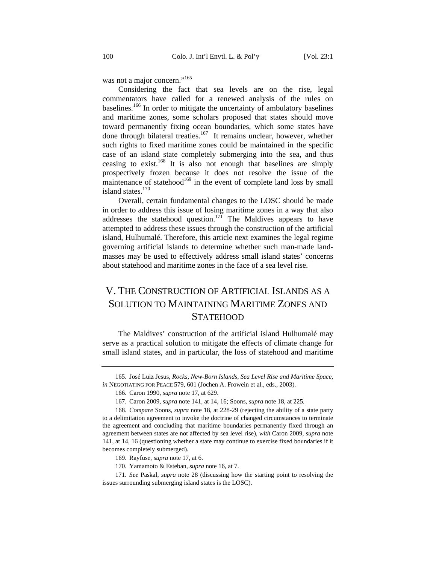was not a major concern."<sup>165</sup>

Considering the fact that sea levels are on the rise, legal commentators have called for a renewed analysis of the rules on baselines.166 In order to mitigate the uncertainty of ambulatory baselines and maritime zones, some scholars proposed that states should move toward permanently fixing ocean boundaries, which some states have done through bilateral treaties.<sup>167</sup> It remains unclear, however, whether such rights to fixed maritime zones could be maintained in the specific case of an island state completely submerging into the sea, and thus ceasing to exist.<sup>168</sup> It is also not enough that baselines are simply prospectively frozen because it does not resolve the issue of the maintenance of statehood<sup>169</sup> in the event of complete land loss by small island states.<sup>170</sup>

Overall, certain fundamental changes to the LOSC should be made in order to address this issue of losing maritime zones in a way that also addresses the statehood question.<sup>171</sup> The Maldives appears to have attempted to address these issues through the construction of the artificial island, Hulhumalé. Therefore, this article next examines the legal regime governing artificial islands to determine whether such man-made landmasses may be used to effectively address small island states' concerns about statehood and maritime zones in the face of a sea level rise.

# V. THE CONSTRUCTION OF ARTIFICIAL ISLANDS AS A SOLUTION TO MAINTAINING MARITIME ZONES AND **STATEHOOD**

The Maldives' construction of the artificial island Hulhumalé may serve as a practical solution to mitigate the effects of climate change for small island states, and in particular, the loss of statehood and maritime

<sup>165.</sup> José Luiz Jesus, *Rocks, New-Born Islands, Sea Level Rise and Maritime Space*, *in* NEGOTIATING FOR PEACE 579, 601 (Jochen A. Frowein et al., eds., 2003).

<sup>166.</sup> Caron 1990, *supra* note 17, at 629.

<sup>167.</sup> Caron 2009, *supra* note 141, at 14, 16; Soons, *supra* note 18, at 225*.*

<sup>168.</sup> *Compare* Soons, *supra* note 18, at 228-29 (rejecting the ability of a state party to a delimitation agreement to invoke the doctrine of changed circumstances to terminate the agreement and concluding that maritime boundaries permanently fixed through an agreement between states are not affected by sea level rise), *with* Caron 2009, *supra* note 141, at 14, 16 (questioning whether a state may continue to exercise fixed boundaries if it becomes completely submerged).

<sup>169.</sup> Rayfuse, *supra* note 17, at 6.

<sup>170.</sup> Yamamoto & Esteban, *supra* note 16, at 7.

<sup>171.</sup> *See* Paskal, *supra* note 28 (discussing how the starting point to resolving the issues surrounding submerging island states is the LOSC).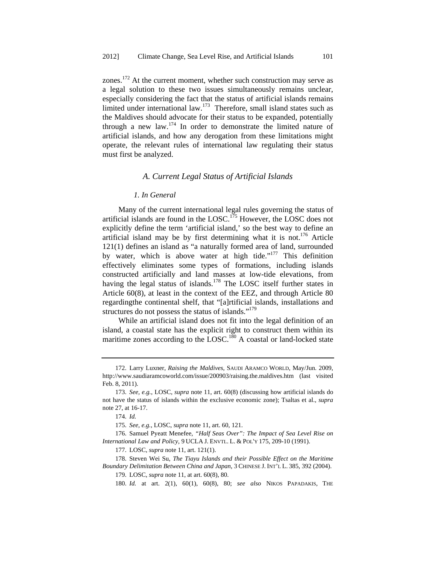zones.<sup>172</sup> At the current moment, whether such construction may serve as a legal solution to these two issues simultaneously remains unclear, especially considering the fact that the status of artificial islands remains limited under international law.<sup>173</sup> Therefore, small island states such as the Maldives should advocate for their status to be expanded, potentially through a new law. $174$  In order to demonstrate the limited nature of artificial islands, and how any derogation from these limitations might operate, the relevant rules of international law regulating their status must first be analyzed.

#### *A. Current Legal Status of Artificial Islands*

#### *1. In General*

Many of the current international legal rules governing the status of artificial islands are found in the LOSC.<sup>175</sup> However, the LOSC does not explicitly define the term 'artificial island,' so the best way to define an artificial island may be by first determining what it is not.<sup>176</sup> Article 121(1) defines an island as "a naturally formed area of land, surrounded by water, which is above water at high tide."<sup>177</sup> This definition effectively eliminates some types of formations, including islands constructed artificially and land masses at low-tide elevations, from having the legal status of islands.<sup>178</sup> The LOSC itself further states in Article 60(8), at least in the context of the EEZ, and through Article 80 regardingthe continental shelf, that "[a]rtificial islands, installations and structures do not possess the status of islands."<sup>179</sup>

While an artificial island does not fit into the legal definition of an island, a coastal state has the explicit right to construct them within its maritime zones according to the LOSC.<sup>180</sup> A coastal or land-locked state

<sup>172.</sup> Larry Luxner, *Raising the Maldives*, SAUDI ARAMCO WORLD, May/Jun. 2009, http://www.saudiaramcoworld.com/issue/200903/raising.the.maldives.htm (last visited Feb. 8, 2011).

<sup>173.</sup> *See, e.g.*, LOSC, *supra* note 11, art. 60(8) (discussing how artificial islands do not have the status of islands within the exclusive economic zone); Tsaltas et al., *supra* note 27, at 16-17.

<sup>174.</sup> *Id.* 

<sup>175.</sup> *See, e.g.*, LOSC, *supra* note 11, art. 60, 121.

<sup>176.</sup> Samuel Pyeatt Menefee, *"Half Seas Over": The Impact of Sea Level Rise on International Law and Policy*, 9 UCLA J. ENVTL. L. & POL'Y 175, 209-10 (1991).

<sup>177.</sup> LOSC, *supra* note 11, art. 121(1).

<sup>178.</sup> Steven Wei Su, *The Tiayu Islands and their Possible Effect on the Maritime Boundary Delimitation Between China and Japan*, 3 CHINESE J. INT'L L. 385, 392 (2004).

<sup>179.</sup> LOSC, *supra* note 11, at art. 60(8), 80.

<sup>180.</sup> *Id.* at art. 2(1), 60(1), 60(8), 80; *see also* NIKOS PAPADAKIS, THE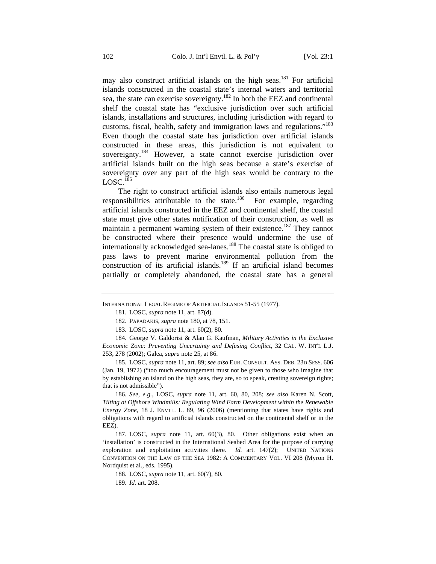may also construct artificial islands on the high seas.<sup>181</sup> For artificial islands constructed in the coastal state's internal waters and territorial sea, the state can exercise sovereignty.182 In both the EEZ and continental shelf the coastal state has "exclusive jurisdiction over such artificial islands, installations and structures, including jurisdiction with regard to customs, fiscal, health, safety and immigration laws and regulations."183 Even though the coastal state has jurisdiction over artificial islands constructed in these areas, this jurisdiction is not equivalent to sovereignty.<sup>184</sup> However, a state cannot exercise jurisdiction over artificial islands built on the high seas because a state's exercise of sovereignty over any part of the high seas would be contrary to the  $LOGC<sup>185</sup>$ 

The right to construct artificial islands also entails numerous legal responsibilities attributable to the state.<sup>186</sup> For example, regarding artificial islands constructed in the EEZ and continental shelf, the coastal state must give other states notification of their construction, as well as maintain a permanent warning system of their existence.<sup>187</sup> They cannot be constructed where their presence would undermine the use of internationally acknowledged sea-lanes.<sup>188</sup> The coastal state is obliged to pass laws to prevent marine environmental pollution from the construction of its artificial islands.<sup>189</sup> If an artificial island becomes partially or completely abandoned, the coastal state has a general

185. LOSC, *supra* note 11, art. 89; *see also* EUR. CONSULT. ASS. DEB. 23D SESS. 606 (Jan. 19, 1972) ("too much encouragement must not be given to those who imagine that by establishing an island on the high seas, they are, so to speak, creating sovereign rights; that is not admissible").

186. *See, e.g.*, LOSC, *supra* note 11, art. 60, 80, 208; *see also* Karen N. Scott, *Tilting at Offshore Windmills: Regulating Wind Farm Development within the Renewable Energy Zone*, 18 J. ENVTL. L. 89, 96 (2006) (mentioning that states have rights and obligations with regard to artificial islands constructed on the continental shelf or in the EEZ).

187. LOSC, *supra* note 11, art. 60(3), 80. Other obligations exist when an 'installation' is constructed in the International Seabed Area for the purpose of carrying exploration and exploitation activities there. *Id.* art. 147(2); UNITED NATIONS CONVENTION ON THE LAW OF THE SEA 1982: A COMMENTARY VOL. VI 208 (Myron H. Nordquist et al., eds. 1995).

188. LOSC, *supra* note 11, art. 60(7), 80.

INTERNATIONAL LEGAL REGIME OF ARTIFICIAL ISLANDS 51-55 (1977).

<sup>181.</sup> LOSC, *supra* note 11, art. 87(d).

<sup>182.</sup> PAPADAKIS, *supra* note 180, at 78, 151.

<sup>183.</sup> LOSC, *supra* note 11, art. 60(2), 80.

<sup>184.</sup> George V. Galdorisi & Alan G. Kaufman, *Military Activities in the Exclusive Economic Zone: Preventing Uncertainty and Defusing Conflict*, 32 CAL. W. INT'L L.J. 253, 278 (2002); Galea, *supra* note 25, at 86.

<sup>189.</sup> *Id.* art. 208.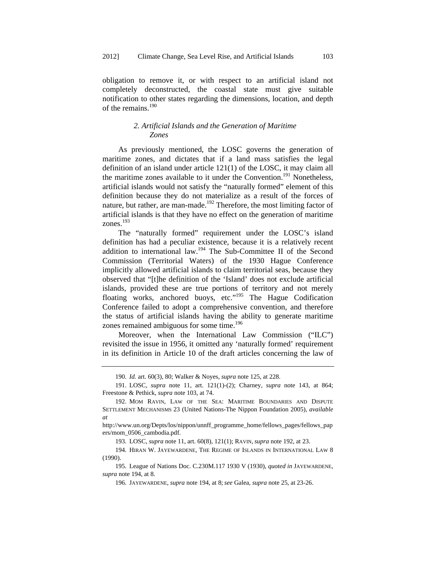obligation to remove it, or with respect to an artificial island not completely deconstructed, the coastal state must give suitable notification to other states regarding the dimensions, location, and depth of the remains.<sup>190</sup>

### *2. Artificial Islands and the Generation of Maritime Zones*

As previously mentioned, the LOSC governs the generation of maritime zones, and dictates that if a land mass satisfies the legal definition of an island under article 121(1) of the LOSC, it may claim all the maritime zones available to it under the Convention.<sup>191</sup> Nonetheless, artificial islands would not satisfy the "naturally formed" element of this definition because they do not materialize as a result of the forces of nature, but rather, are man-made.<sup>192</sup> Therefore, the most limiting factor of artificial islands is that they have no effect on the generation of maritime zones.193

The "naturally formed" requirement under the LOSC's island definition has had a peculiar existence, because it is a relatively recent addition to international law.<sup>194</sup> The Sub-Committee II of the Second Commission (Territorial Waters) of the 1930 Hague Conference implicitly allowed artificial islands to claim territorial seas, because they observed that "[t]he definition of the 'Island' does not exclude artificial islands, provided these are true portions of territory and not merely floating works, anchored buoys, etc."<sup>195</sup> The Hague Codification Conference failed to adopt a comprehensive convention, and therefore the status of artificial islands having the ability to generate maritime zones remained ambiguous for some time.<sup>196</sup>

Moreover, when the International Law Commission ("ILC") revisited the issue in 1956, it omitted any 'naturally formed' requirement in its definition in Article 10 of the draft articles concerning the law of

<sup>190.</sup> *Id.* art. 60(3), 80; Walker & Noyes, *supra* note 125, at 228.

<sup>191.</sup> LOSC, *supra* note 11, art. 121(1)-(2); Charney, *supra* note 143, at 864; Freestone & Pethick, *supra* note 103, at 74.

<sup>192.</sup> MOM RAVIN, LAW OF THE SEA: MARITIME BOUNDARIES AND DISPUTE SETTLEMENT MECHANISMS 23 (United Nations-The Nippon Foundation 2005), *available at*

http://www.un.org/Depts/los/nippon/unnff\_programme\_home/fellows\_pages/fellows\_pap ers/mom\_0506\_cambodia.pdf.

<sup>193.</sup> LOSC, *supra* note 11, art. 60(8), 121(1); RAVIN,*supra* note 192, at 23.

<sup>194.</sup> HIRAN W. JAYEWARDENE, THE REGIME OF ISLANDS IN INTERNATIONAL LAW 8 (1990).

<sup>195.</sup> League of Nations Doc. C.230M.117 1930 V (1930), *quoted in* JAYEWARDENE, *supra* note 194, at 8.

<sup>196.</sup> JAYEWARDENE, *supra* note 194, at 8;*see* Galea, *supra* note 25, at 23-26.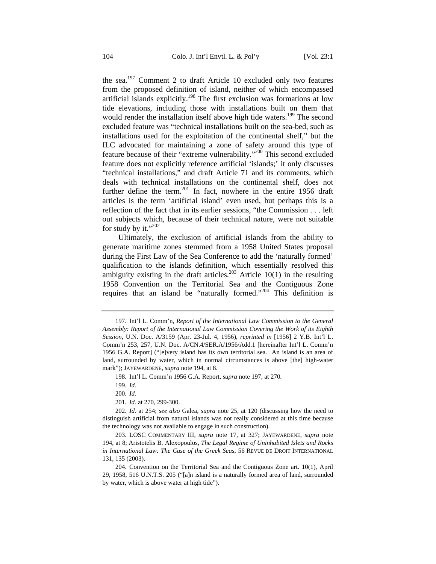the sea.<sup>197</sup> Comment 2 to draft Article 10 excluded only two features from the proposed definition of island, neither of which encompassed artificial islands explicitly.<sup>198</sup> The first exclusion was formations at low tide elevations, including those with installations built on them that would render the installation itself above high tide waters.<sup>199</sup> The second excluded feature was "technical installations built on the sea-bed, such as installations used for the exploitation of the continental shelf," but the ILC advocated for maintaining a zone of safety around this type of feature because of their "extreme vulnerability."200 This second excluded feature does not explicitly reference artificial 'islands;' it only discusses "technical installations," and draft Article 71 and its comments, which deals with technical installations on the continental shelf, does not further define the term.<sup>201</sup> In fact, nowhere in the entire 1956 draft articles is the term 'artificial island' even used, but perhaps this is a reflection of the fact that in its earlier sessions, "the Commission . . . left out subjects which, because of their technical nature, were not suitable for study by it." $^{202}$ 

Ultimately, the exclusion of artificial islands from the ability to generate maritime zones stemmed from a 1958 United States proposal during the First Law of the Sea Conference to add the 'naturally formed' qualification to the islands definition, which essentially resolved this ambiguity existing in the draft articles.<sup>203</sup> Article 10(1) in the resulting 1958 Convention on the Territorial Sea and the Contiguous Zone requires that an island be "naturally formed."204 This definition is

<sup>197.</sup> Int'l L. Comm'n, *Report of the International Law Commission to the General Assembly: Report of the International Law Commission Covering the Work of its Eighth Session*, U.N. Doc. A/3159 (Apr. 23-Jul. 4, 1956), *reprinted in* [1956] 2 Y.B. Int'l L. Comm'n 253, 257, U.N. Doc. A/CN.4/SER.A/1956/Add.1 [hereinafter Int'l L. Comm'n 1956 G.A. Report] ("[e]very island has its own territorial sea. An island is an area of land, surrounded by water, which in normal circumstances is above [the] high-water mark"); JAYEWARDENE, *supra* note 194, at 8.

<sup>198.</sup> Int'l L. Comm'n 1956 G.A. Report, *supra* note 197, at 270.

<sup>199.</sup> *Id.*

<sup>200.</sup> *Id.*

<sup>201.</sup> *Id.* at 270, 299-300.

<sup>202.</sup> *Id.* at 254; *see also* Galea, *supra* note 25, at 120 (discussing how the need to distinguish artificial from natural islands was not really considered at this time because the technology was not available to engage in such construction).

<sup>203.</sup> LOSC COMMENTARY III, *supra* note 17, at 327; JAYEWARDENE, *supra* note 194, at 8; Aristotelis B. Alexopoulos, *The Legal Regime of Uninhabited Islets and Rocks in International Law: The Case of the Greek Seas*, 56 REVUE DE DROIT INTERNATIONAL 131, 135 (2003).

<sup>204.</sup> Convention on the Territorial Sea and the Contiguous Zone art. 10(1), April 29, 1958, 516 U.N.T.S. 205 ("[a]n island is a naturally formed area of land, surrounded by water, which is above water at high tide").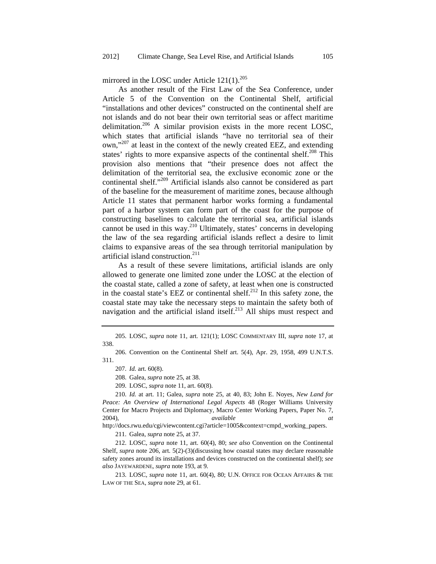mirrored in the LOSC under Article  $121(1)$ .<sup>205</sup>

As another result of the First Law of the Sea Conference, under Article 5 of the Convention on the Continental Shelf, artificial "installations and other devices" constructed on the continental shelf are not islands and do not bear their own territorial seas or affect maritime delimitation.<sup>206</sup> A similar provision exists in the more recent LOSC, which states that artificial islands "have no territorial sea of their own,"207 at least in the context of the newly created EEZ, and extending states' rights to more expansive aspects of the continental shelf.<sup>208</sup> This provision also mentions that "their presence does not affect the delimitation of the territorial sea, the exclusive economic zone or the continental shelf."209 Artificial islands also cannot be considered as part of the baseline for the measurement of maritime zones, because although Article 11 states that permanent harbor works forming a fundamental part of a harbor system can form part of the coast for the purpose of constructing baselines to calculate the territorial sea, artificial islands cannot be used in this way. $^{210}$  Ultimately, states' concerns in developing the law of the sea regarding artificial islands reflect a desire to limit claims to expansive areas of the sea through territorial manipulation by artificial island construction.211

As a result of these severe limitations, artificial islands are only allowed to generate one limited zone under the LOSC at the election of the coastal state, called a zone of safety, at least when one is constructed in the coastal state's EEZ or continental shelf. $^{212}$  In this safety zone, the coastal state may take the necessary steps to maintain the safety both of navigation and the artificial island itself. $^{213}$  All ships must respect and

http://docs.rwu.edu/cgi/viewcontent.cgi?article=1005&context=cmpd\_working\_papers.

211. Galea, *supra* note 25, at 37.

212. LOSC, *supra* note 11, art. 60(4), 80; *see also* Convention on the Continental Shelf, *supra* note 206, art. 5(2)-(3)(discussing how coastal states may declare reasonable safety zones around its installations and devices constructed on the continental shelf); *see also* JAYEWARDENE, *supra* note 193, at 9.

213. LOSC, *supra* note 11, art. 60(4), 80; U.N. OFFICE FOR OCEAN AFFAIRS & THE LAW OF THE SEA, *supra* note 29, at 61.

<sup>205.</sup> LOSC, *supra* note 11, art. 121(1); LOSC COMMENTARY III, *supra* note 17, at 338.

<sup>206.</sup> Convention on the Continental Shelf art. 5(4), Apr. 29, 1958, 499 U.N.T.S. 311.

<sup>207.</sup> *Id.* art. 60(8).

<sup>208.</sup> Galea, *supra* note 25, at 38.

<sup>209.</sup> LOSC, *supra* note 11, art. 60(8).

<sup>210.</sup> *Id.* at art. 11; Galea, *supra* note 25, at 40, 83; John E. Noyes, *New Land for Peace: An Overview of International Legal Aspects* 48 (Roger Williams University Center for Macro Projects and Diplomacy, Macro Center Working Papers, Paper No. 7, 2004), *available at*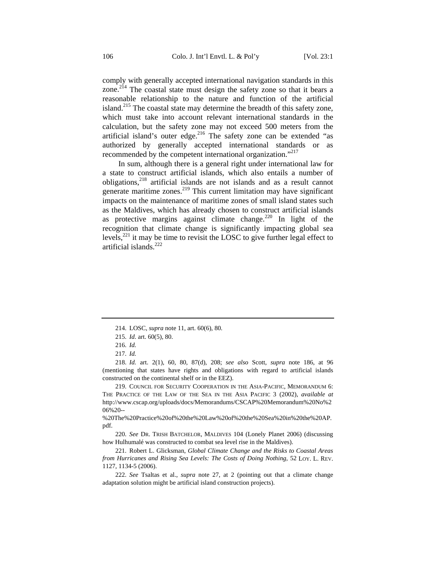comply with generally accepted international navigation standards in this zone.<sup>214</sup> The coastal state must design the safety zone so that it bears a reasonable relationship to the nature and function of the artificial island.<sup>215</sup> The coastal state may determine the breadth of this safety zone, which must take into account relevant international standards in the calculation, but the safety zone may not exceed 500 meters from the artificial island's outer edge.<sup>216</sup> The safety zone can be extended "as authorized by generally accepted international standards or as recommended by the competent international organization."<sup>217</sup>

In sum, although there is a general right under international law for a state to construct artificial islands, which also entails a number of obligations,<sup>218</sup> artificial islands are not islands and as a result cannot generate maritime zones. $^{219}$  This current limitation may have significant impacts on the maintenance of maritime zones of small island states such as the Maldives, which has already chosen to construct artificial islands as protective margins against climate change.<sup>220</sup> In light of the recognition that climate change is significantly impacting global sea levels, $^{221}$  it may be time to revisit the LOSC to give further legal effect to artificial islands $^{222}$ 

<sup>214.</sup> LOSC, *supra* note 11, art. 60(6), 80.

<sup>215.</sup> *Id*. art. 60(5), 80.

<sup>216.</sup> *Id.*

<sup>217.</sup> *Id.*

<sup>218.</sup> *Id.* art. 2(1), 60, 80, 87(d), 208; *see also* Scott, *supra* note 186, at 96 (mentioning that states have rights and obligations with regard to artificial islands constructed on the continental shelf or in the EEZ).

<sup>219.</sup> COUNCIL FOR SECURITY COOPERATION IN THE ASIA-PACIFIC, MEMORANDUM 6: THE PRACTICE OF THE LAW OF THE SEA IN THE ASIA PACIFIC 3 (2002), *available at* http://www.cscap.org/uploads/docs/Memorandums/CSCAP%20Memorandum%20No%2 06%20--

<sup>%20</sup>The%20Practice%20of%20the%20Law%20of%20the%20Sea%20in%20the%20AP. pdf.

<sup>220.</sup> *See* DR. TRISH BATCHELOR, MALDIVES 104 (Lonely Planet 2006) (discussing how Hulhumalé was constructed to combat sea level rise in the Maldives).

<sup>221.</sup> Robert L. Glicksman, *Global Climate Change and the Risks to Coastal Areas from Hurricanes and Rising Sea Levels: The Costs of Doing Nothing*, 52 LOY. L. REV. 1127, 1134-5 (2006).

<sup>222.</sup> *See* Tsaltas et al., *supra* note 27, at 2 (pointing out that a climate change adaptation solution might be artificial island construction projects).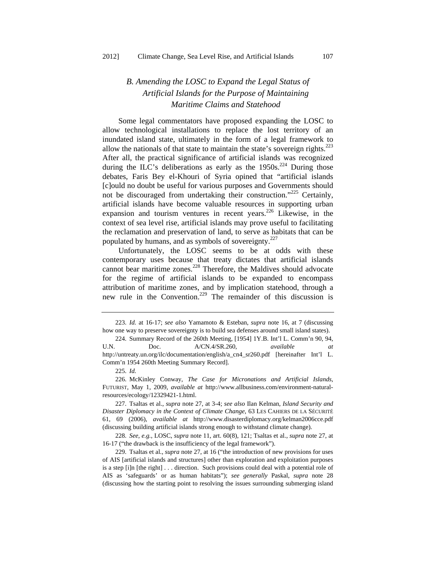# *B. Amending the LOSC to Expand the Legal Status of Artificial Islands for the Purpose of Maintaining Maritime Claims and Statehood*

Some legal commentators have proposed expanding the LOSC to allow technological installations to replace the lost territory of an inundated island state, ultimately in the form of a legal framework to allow the nationals of that state to maintain the state's sovereign rights. $^{223}$ After all, the practical significance of artificial islands was recognized during the ILC's deliberations as early as the  $1950s$ <sup>224</sup> During those debates, Faris Bey el-Khouri of Syria opined that "artificial islands [c]ould no doubt be useful for various purposes and Governments should not be discouraged from undertaking their construction."<sup>225</sup> Certainly, artificial islands have become valuable resources in supporting urban expansion and tourism ventures in recent years.<sup>226</sup> Likewise, in the context of sea level rise, artificial islands may prove useful to facilitating the reclamation and preservation of land, to serve as habitats that can be populated by humans, and as symbols of sovereignty.<sup>227</sup>

Unfortunately, the LOSC seems to be at odds with these contemporary uses because that treaty dictates that artificial islands cannot bear maritime zones.<sup>228</sup> Therefore, the Maldives should advocate for the regime of artificial islands to be expanded to encompass attribution of maritime zones, and by implication statehood, through a new rule in the Convention.<sup>229</sup> The remainder of this discussion is

<sup>223.</sup> *Id.* at 16-17; *see also* Yamamoto & Esteban, *supra* note 16, at 7 (discussing how one way to preserve sovereignty is to build sea defenses around small island states).

<sup>224.</sup> Summary Record of the 260th Meeting, [1954] 1Y.B. Int'l L. Comm'n 90, 94, U.N. Doc. A/CN.4/SR.260, *available at* http://untreaty.un.org/ilc/documentation/english/a\_cn4\_sr260.pdf [hereinafter Int'l L. Comm'n 1954 260th Meeting Summary Record].

<sup>225.</sup> *Id.*

<sup>226.</sup> McKinley Conway, *The Case for Micronations and Artificial Islands*, FUTURIST, May 1, 2009, *available at* http://www.allbusiness.com/environment-naturalresources/ecology/12329421-1.html.

<sup>227.</sup> Tsaltas et al., *supra* note 27, at 3-4; *see also* Ilan Kelman, *Island Security and Disaster Diplomacy in the Context of Climate Change*, 63 LES CAHIERS DE LA SÉCURITÉ 61, 69 (2006), *available at* http://www.disasterdiplomacy.org/kelman2006cce.pdf (discussing building artificial islands strong enough to withstand climate change).

<sup>228.</sup> *See*, *e.g.*, LOSC, *supra* note 11, art. 60(8), 121; Tsaltas et al., *supra* note 27, at 16-17 ("the drawback is the insufficiency of the legal framework").

<sup>229.</sup> Tsaltas et al., *supra* note 27, at 16 ("the introduction of new provisions for uses of AIS [artificial islands and structures] other than exploration and exploitation purposes is a step [i]n [the right] . . . direction. Such provisions could deal with a potential role of AIS as 'safeguards' or as human habitats"); *see generally* Paskal, *supra* note 28 (discussing how the starting point to resolving the issues surrounding submerging island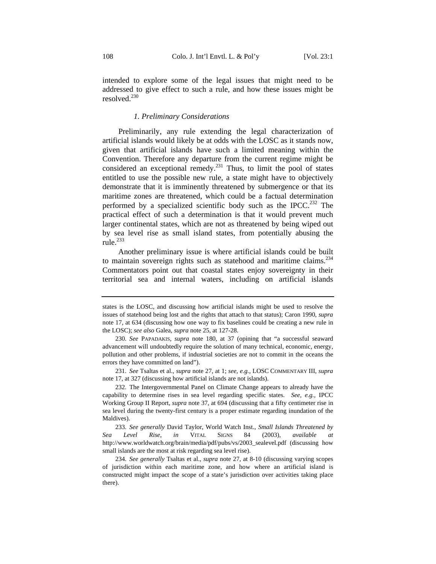intended to explore some of the legal issues that might need to be addressed to give effect to such a rule, and how these issues might be resolved.230

#### *1. Preliminary Considerations*

Preliminarily, any rule extending the legal characterization of artificial islands would likely be at odds with the LOSC as it stands now, given that artificial islands have such a limited meaning within the Convention. Therefore any departure from the current regime might be considered an exceptional remedy.<sup>231</sup> Thus, to limit the pool of states entitled to use the possible new rule, a state might have to objectively demonstrate that it is imminently threatened by submergence or that its maritime zones are threatened, which could be a factual determination performed by a specialized scientific body such as the IPCC.<sup>232</sup> The practical effect of such a determination is that it would prevent much larger continental states, which are not as threatened by being wiped out by sea level rise as small island states, from potentially abusing the rule.<sup>233</sup>

Another preliminary issue is where artificial islands could be built to maintain sovereign rights such as statehood and maritime claims.<sup>234</sup> Commentators point out that coastal states enjoy sovereignty in their territorial sea and internal waters, including on artificial islands

231. *See* Tsaltas et al., *supra* note 27, at 1; *see, e.g.*, LOSC COMMENTARY III, *supra* note 17, at 327 (discussing how artificial islands are not islands).

232. The Intergovernmental Panel on Climate Change appears to already have the capability to determine rises in sea level regarding specific states. *See, e.g.*, IPCC Working Group II Report, *supra* note 37, at 694 (discussing that a fifty centimeter rise in sea level during the twenty-first century is a proper estimate regarding inundation of the Maldives).

233. *See generally* David Taylor, World Watch Inst., *Small Islands Threatened by Sea Level Rise*, *in* VITAL SIGNS 84 (2003), *available at* http://www.worldwatch.org/brain/media/pdf/pubs/vs/2003\_sealevel.pdf (discussing how small islands are the most at risk regarding sea level rise).

234. *See generally* Tsaltas et al., *supra* note 27, at 8-10 (discussing varying scopes of jurisdiction within each maritime zone, and how where an artificial island is constructed might impact the scope of a state's jurisdiction over activities taking place there).

states is the LOSC, and discussing how artificial islands might be used to resolve the issues of statehood being lost and the rights that attach to that status); Caron 1990, *supra*  note 17, at 634 (discussing how one way to fix baselines could be creating a new rule in the LOSC); *see also* Galea, *supra* note 25, at 127-28.

<sup>230.</sup> *See* PAPADAKIS, *supra* note 180, at 37 (opining that "a successful seaward advancement will undoubtedly require the solution of many technical, economic, energy, pollution and other problems, if industrial societies are not to commit in the oceans the errors they have committed on land").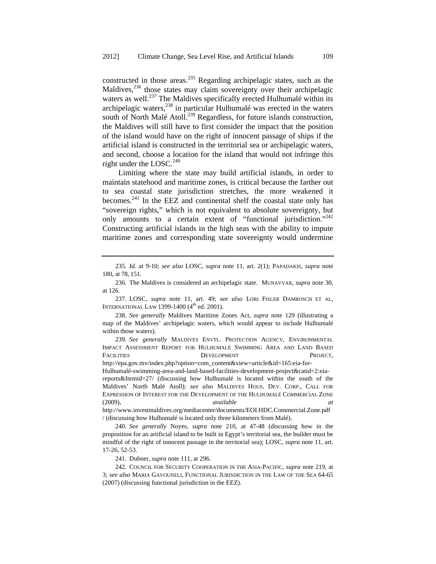constructed in those areas.<sup>235</sup> Regarding archipelagic states, such as the Maldives, $^{236}$  those states may claim sovereignty over their archipelagic waters as well.<sup>237</sup> The Maldives specifically erected Hulhumalé within its archipelagic waters,238 in particular Hulhumalé was erected in the waters south of North Malé Atoll.<sup>239</sup> Regardless, for future islands construction, the Maldives will still have to first consider the impact that the position of the island would have on the right of innocent passage of ships if the artificial island is constructed in the territorial sea or archipelagic waters, and second, choose a location for the island that would not infringe this right under the LOSC.<sup>240</sup>

Limiting where the state may build artificial islands, in order to maintain statehood and maritime zones, is critical because the farther out to sea coastal state jurisdiction stretches, the more weakened it becomes.241 In the EEZ and continental shelf the coastal state only has "sovereign rights," which is not equivalent to absolute sovereignty, but only amounts to a certain extent of "functional jurisdiction."<sup>242</sup> Constructing artificial islands in the high seas with the ability to impute maritime zones and corresponding state sovereignty would undermine

237. LOSC, *supra* note 11, art. 49; *see also* LORI FISLER DAMROSCH ET AL, INTERNATIONAL LAW 1399-1400 (4<sup>th</sup> ed. 2001).

238. *See generally* Maldives Maritime Zones Act, *supra* note 129 (illustrating a map of the Maldives' archipelagic waters, which would appear to include Hulhumalé within those waters).

http://epa.gov.mv/index.php?option=com\_content&view=article&id=165:eia-for-

Hulhumalé-swimming-area-and-land-based-facilities-development-project&catid=2:eiareports&Itemid=27/ (discussing how Hulhumalé is located within the south of the Maldives' North Malé Atoll); *see also* MALDIVES HOUS. DEV. CORP., CALL FOR EXPRESSION OF INTEREST FOR THE DEVELOPMENT OF THE HULHUMALÉ COMMERCIAL ZONE (2009), *available at*

http://www.investmaldives.org/mediacenter/documents/EOI.HDC.Commercial.Zone.pdf / (discussing how Hulhumalé is located only three kilometers from Malé).

240. *See generally* Noyes, *supra* note 210, at 47-48 (discussing how in the proposition for an artificial island to be built in Egypt's territorial sea, the builder must be mindful of the right of innocent passage in the territorial sea); LOSC, *supra* note 11, art. 17-26, 52-53.

241. Dubner, *supra* note 111, at 296.

242. COUNCIL FOR SECURITY COOPERATION IN THE ASIA-PACIFIC, *supra* note 219, at 3; *see also* MARIA GAVOUNELI, FUNCTIONAL JURISDICTION IN THE LAW OF THE SEA 64-65 (2007) (discussing functional jurisdiction in the EEZ).

<sup>235.</sup> *Id.* at 9-10; *see also* LOSC, *supra* note 11, art. 2(1); PAPADAKIS, *supra* note 180, at 78, 151.

<sup>236.</sup> The Maldives is considered an archipelagic state. MUNAVVAR, *supra* note 30, at 126.

<sup>239.</sup> *See generally* MALDIVES ENVTL. PROTECTION AGENCY, ENVIRONMENTAL IMPACT ASSESSMENT REPORT FOR HULHUMALÉ SWIMMING AREA AND LAND BASED FACILITIES DEVELOPMENT PROJECT,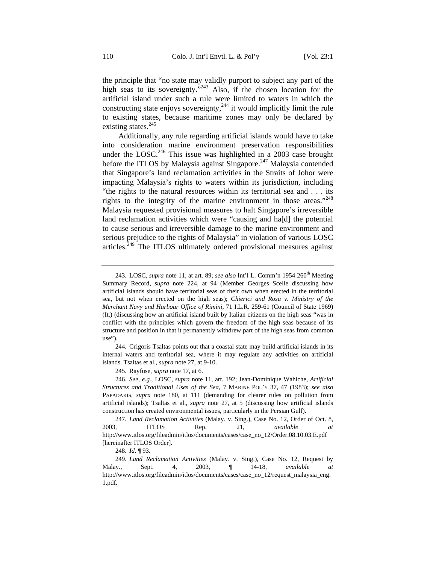the principle that "no state may validly purport to subject any part of the high seas to its sovereignty."<sup>243</sup> Also, if the chosen location for the artificial island under such a rule were limited to waters in which the constructing state enjoys sovereignty,<sup>244</sup> it would implicitly limit the rule to existing states, because maritime zones may only be declared by existing states.<sup>245</sup>

Additionally, any rule regarding artificial islands would have to take into consideration marine environment preservation responsibilities under the LOSC.<sup>246</sup> This issue was highlighted in a 2003 case brought before the ITLOS by Malaysia against Singapore.<sup>247</sup> Malaysia contended that Singapore's land reclamation activities in the Straits of Johor were impacting Malaysia's rights to waters within its jurisdiction, including "the rights to the natural resources within its territorial sea and . . . its rights to the integrity of the marine environment in those areas."248 Malaysia requested provisional measures to halt Singapore's irreversible land reclamation activities which were "causing and ha[d] the potential to cause serious and irreversible damage to the marine environment and serious prejudice to the rights of Malaysia" in violation of various LOSC articles.<sup>249</sup> The ITLOS ultimately ordered provisional measures against

244. Grigoris Tsaltas points out that a coastal state may build artificial islands in its internal waters and territorial sea, where it may regulate any activities on artificial islands. Tsaltas et al., *supra* note 27, at 9-10.

245. Rayfuse, *supra* note 17, at 6.

246. *See*, *e.g.*, LOSC, *supra* note 11, art. 192; Jean-Dominique Wahiche, *Artificial Structures and Traditional Uses of the Sea*, 7 MARINE POL'Y 37, 47 (1983); *see also* PAPADAKIS, *supra* note 180, at 111 (demanding for clearer rules on pollution from artificial islands); Tsaltas et al., *supra* note 27, at 5 (discussing how artificial islands construction has created environmental issues, particularly in the Persian Gulf).

247. *Land Reclamation Activities* (Malay. v. Sing.), Case No. 12, Order of Oct. 8, 2003, ITLOS Rep. 21, *available at*  http://www.itlos.org/fileadmin/itlos/documents/cases/case\_no\_12/Order.08.10.03.E.pdf [hereinafter ITLOS Order].

248. *Id*. ¶ 93.

249. *Land Reclamation Activities* (Malay. v. Sing.), Case No. 12, Request by Malay., Sept. 4, 2003, ¶ 14-18, *available at* http://www.itlos.org/fileadmin/itlos/documents/cases/case\_no\_12/request\_malaysia\_eng. 1.pdf.

<sup>243.</sup> LOSC, *supra* note 11, at art. 89; *see also* Int'l L. Comm'n 1954 260<sup>th</sup> Meeting Summary Record, *supra* note 224, at 94 (Member Georges Scelle discussing how artificial islands should have territorial seas of their own when erected in the territorial sea, but not when erected on the high seas); *Chierici and Rosa v. Ministry of the Merchant Navy and Harbour Office of Rimini,* 71 I.L.R. 259-61 (Council of State 1969) (It.) (discussing how an artificial island built by Italian citizens on the high seas "was in conflict with the principles which govern the freedom of the high seas because of its structure and position in that it permanently withdrew part of the high seas from common use").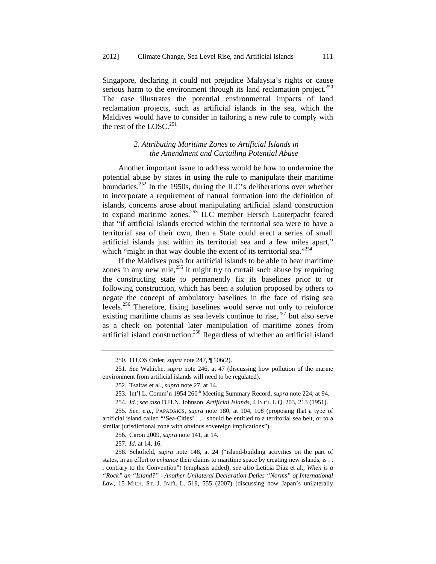Singapore, declaring it could not prejudice Malaysia's rights or cause serious harm to the environment through its land reclamation project. $250$ The case illustrates the potential environmental impacts of land reclamation projects, such as artificial islands in the sea, which the Maldives would have to consider in tailoring a new rule to comply with the rest of the LOSC. $^{251}$ 

### *2. Attributing Maritime Zones to Artificial Islands in the Amendment and Curtailing Potential Abuse*

Another important issue to address would be how to undermine the potential abuse by states in using the rule to manipulate their maritime boundaries.<sup>252</sup> In the 1950s, during the ILC's deliberations over whether to incorporate a requirement of natural formation into the definition of islands, concerns arose about manipulating artificial island construction to expand maritime zones.<sup>253</sup> ILC member Hersch Lauterpacht feared that "if artificial islands erected within the territorial sea were to have a territorial sea of their own, then a State could erect a series of small artificial islands just within its territorial sea and a few miles apart," which "might in that way double the extent of its territorial sea."<sup>254</sup>

If the Maldives push for artificial islands to be able to bear maritime zones in any new rule, $^{255}$  it might try to curtail such abuse by requiring the constructing state to permanently fix its baselines prior to or following construction, which has been a solution proposed by others to negate the concept of ambulatory baselines in the face of rising sea levels.256 Therefore, fixing baselines would serve not only to reinforce existing maritime claims as sea levels continue to rise,<sup>257</sup> but also serve as a check on potential later manipulation of maritime zones from artificial island construction.258 Regardless of whether an artificial island

<sup>250.</sup> ITLOS Order, *supra* note 247, ¶ 106(2).

<sup>251.</sup> *See* Wahiche, *supra* note 246, at 47 (discussing how pollution of the marine environment from artificial islands will need to be regulated).

<sup>252.</sup> Tsaltas et al., *supra* note 27, at 14.

<sup>253.</sup> Int'l L. Comm'n 1954 260<sup>th</sup> Meeting Summary Record, *supra* note 224, at 94.

<sup>254.</sup> *Id.*; *see also* D.H.N. Johnson, *Artificial Islands*, 4 INT'L L.Q. 203, 213 (1951).

<sup>255.</sup> *See, e.g.*, PAPADAKIS, *supra* note 180, at 104, 108 (proposing that a type of artificial island called "'Sea-Cities' . . . should be entitled to a territorial sea belt, or to a similar jurisdictional zone with obvious sovereign implications").

<sup>256.</sup> Caron 2009, *supra* note 141, at 14.

<sup>257.</sup> *Id.* at 14, 16.

<sup>258.</sup> Schofield, *supra* note 148, at 24 ("island-building activities on the part of states, in an effort to *enhance* their claims to maritime space by creating new islands, is . . . contrary to the Convention") (emphasis added); *see also* Leticia Diaz et al., *When is a "Rock" an "Island?"—Another Unilateral Declaration Defies "Norms" of International Law*, 15 MICH. ST. J. INT'L L. 519, 555 (2007) (discussing how Japan's unilaterally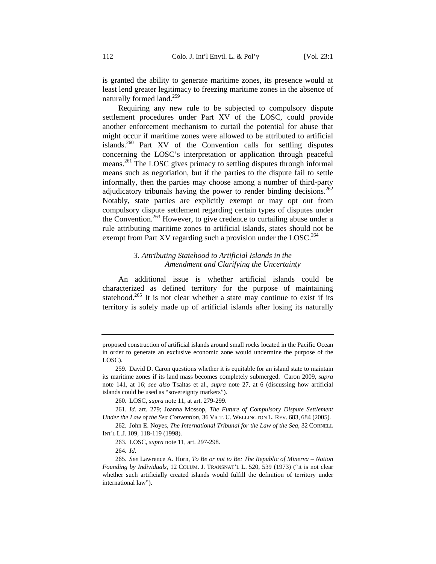is granted the ability to generate maritime zones, its presence would at least lend greater legitimacy to freezing maritime zones in the absence of naturally formed land. $259$ 

Requiring any new rule to be subjected to compulsory dispute settlement procedures under Part XV of the LOSC, could provide another enforcement mechanism to curtail the potential for abuse that might occur if maritime zones were allowed to be attributed to artificial islands.260 Part XV of the Convention calls for settling disputes concerning the LOSC's interpretation or application through peaceful means.<sup>261</sup> The LOSC gives primacy to settling disputes through informal means such as negotiation, but if the parties to the dispute fail to settle informally, then the parties may choose among a number of third-party adjudicatory tribunals having the power to render binding decisions.<sup>262</sup> Notably, state parties are explicitly exempt or may opt out from compulsory dispute settlement regarding certain types of disputes under the Convention.<sup>263</sup> However, to give credence to curtailing abuse under a rule attributing maritime zones to artificial islands, states should not be exempt from Part XV regarding such a provision under the LOSC.<sup>264</sup>

## *3. Attributing Statehood to Artificial Islands in the Amendment and Clarifying the Uncertainty*

An additional issue is whether artificial islands could be characterized as defined territory for the purpose of maintaining statehood.<sup>265</sup> It is not clear whether a state may continue to exist if its territory is solely made up of artificial islands after losing its naturally

proposed construction of artificial islands around small rocks located in the Pacific Ocean in order to generate an exclusive economic zone would undermine the purpose of the LOSC).

<sup>259.</sup> David D. Caron questions whether it is equitable for an island state to maintain its maritime zones if its land mass becomes completely submerged. Caron 2009, *supra* note 141, at 16; *see also* Tsaltas et al., *supra* note 27, at 6 (discussing how artificial islands could be used as "sovereignty markers").

<sup>260.</sup> LOSC, *supra* note 11, at art. 279-299.

<sup>261.</sup> *Id.* art. 279; Joanna Mossop, *The Future of Compulsory Dispute Settlement Under the Law of the Sea Convention*, 36 VICT. U. WELLINGTON L. REV. 683, 684 (2005).

<sup>262.</sup> John E. Noyes, *The International Tribunal for the Law of the Sea*, 32 CORNELL INT'L L.J. 109, 118-119 (1998).

<sup>263.</sup> LOSC, *supra* note 11, art. 297-298.

<sup>264.</sup> *Id*.

<sup>265.</sup> *See* Lawrence A. Horn, *To Be or not to Be: The Republic of Minerva – Nation Founding by Individuals*, 12 COLUM. J. TRANSNAT'L L. 520, 539 (1973) ("it is not clear whether such artificially created islands would fulfill the definition of territory under international law").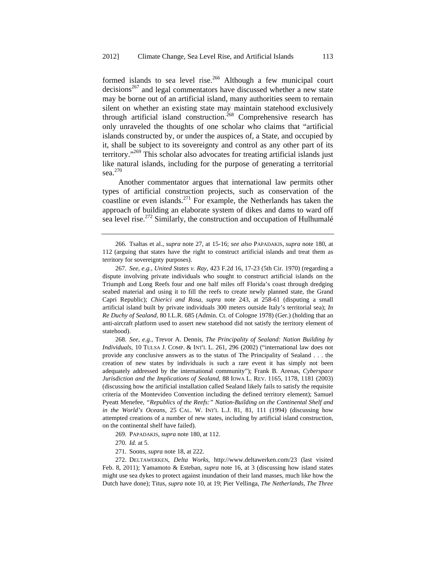formed islands to sea level rise.<sup>266</sup> Although a few municipal court  $decisions<sup>267</sup>$  and legal commentators have discussed whether a new state may be borne out of an artificial island, many authorities seem to remain silent on whether an existing state may maintain statehood exclusively through artificial island construction.<sup>268</sup> Comprehensive research has only unraveled the thoughts of one scholar who claims that "artificial islands constructed by, or under the auspices of, a State, and occupied by it, shall be subject to its sovereignty and control as any other part of its territory."<sup>269</sup> This scholar also advocates for treating artificial islands just like natural islands, including for the purpose of generating a territorial sea.<sup>270</sup>

Another commentator argues that international law permits other types of artificial construction projects, such as conservation of the coastline or even islands.<sup>271</sup> For example, the Netherlands has taken the approach of building an elaborate system of dikes and dams to ward off sea level rise.<sup>272</sup> Similarly, the construction and occupation of Hulhumalé

268. *See, e.g.*, Trevor A. Dennis, *The Principality of Sealand: Nation Building by Individuals*, 10 TULSA J. COMP. & INT'L L. 261, 296 (2002) ("international law does not provide any conclusive answers as to the status of The Principality of Sealand . . . the creation of new states by individuals is such a rare event it has simply not been adequately addressed by the international community"); Frank B. Arenas, *Cyberspace Jurisdiction and the Implications of Sealand*, 88 IOWA L. REV. 1165, 1178, 1181 (2003) (discussing how the artificial installation called Sealand likely fails to satisfy the requisite criteria of the Montevideo Convention including the defined territory element); Samuel Pyeatt Menefee, *"Republics of the Reefs:" Nation-Building on the Continental Shelf and in the World's Oceans*, 25 CAL. W. INT'L L.J. 81, 81, 111 (1994) (discussing how attempted creations of a number of new states, including by artificial island construction, on the continental shelf have failed).

269. PAPADAKIS, *supra* note 180, at 112.

271. Soons, *supra* note 18, at 222.

272. DELTAWERKEN, *Delta Works*, http://www.deltawerken.com/23 (last visited Feb. 8, 2011); Yamamoto & Esteban, *supra* note 16, at 3 (discussing how island states might use sea dykes to protect against inundation of their land masses, much like how the Dutch have done); Titus, *supra* note 10, at 19; Pier Vellinga, *The Netherlands, The Three* 

<sup>266.</sup> Tsaltas et al., *supra* note 27, at 15-16; *see also* PAPADAKIS, *supra* note 180, at 112 (arguing that states have the right to construct artificial islands and treat them as territory for sovereignty purposes).

<sup>267.</sup> *See, e.g.*, *United States v. Ray*, 423 F.2d 16, 17-23 (5th Cir. 1970) (regarding a dispute involving private individuals who sought to construct artificial islands on the Triumph and Long Reefs four and one half miles off Florida's coast through dredging seabed material and using it to fill the reefs to create newly planned state, the Grand Capri Republic); *Chierici and Rosa*, *supra* note 243, at 258-61 (disputing a small artificial island built by private individuals 300 meters outside Italy's territorial sea); *In Re Duchy of Sealand*, 80 I.L.R. 685 (Admin. Ct. of Cologne 1978) (Ger.) (holding that an anti-aircraft platform used to assert new statehood did not satisfy the territory element of statehood).

<sup>270.</sup> *Id.* at 5.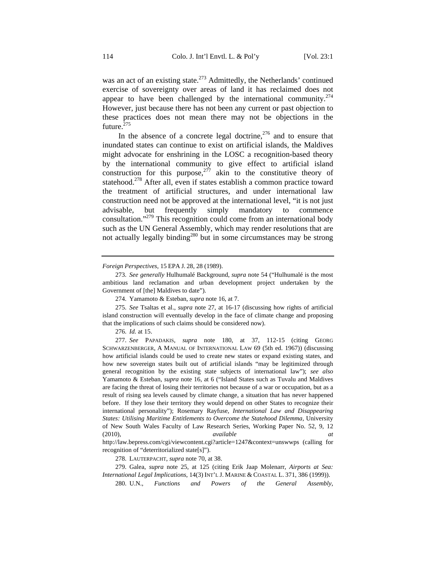was an act of an existing state.<sup>273</sup> Admittedly, the Netherlands' continued exercise of sovereignty over areas of land it has reclaimed does not appear to have been challenged by the international community. $274$ However, just because there has not been any current or past objection to these practices does not mean there may not be objections in the future. $^{275}$ 

In the absence of a concrete legal doctrine,  $276$  and to ensure that inundated states can continue to exist on artificial islands, the Maldives might advocate for enshrining in the LOSC a recognition-based theory by the international community to give effect to artificial island construction for this purpose, $277$  akin to the constitutive theory of statehood.<sup>278</sup> After all, even if states establish a common practice toward the treatment of artificial structures, and under international law construction need not be approved at the international level, "it is not just advisable, but frequently simply mandatory to commence consultation."279 This recognition could come from an international body such as the UN General Assembly, which may render resolutions that are not actually legally binding<sup>280</sup> but in some circumstances may be strong

*Foreign Perspectives*, 15 EPA J. 28, 28 (1989).

278. LAUTERPACHT, *supra* note 70, at 38.

279. Galea, *supra* note 25, at 125 (citing Erik Jaap Molenarr, *Airports at Sea: International Legal Implications*, 14(3) INT'L J. MARINE & COASTAL L. 371, 386 (1999)).

280. U.N., *Functions and Powers of the General Assembly*,

<sup>273.</sup> *See generally* Hulhumalé Background, *supra* note 54 ("Hulhumalé is the most ambitious land reclamation and urban development project undertaken by the Government of [the] Maldives to date").

<sup>274.</sup> Yamamoto & Esteban, *supra* note 16, at 7.

<sup>275.</sup> *See* Tsaltas et al., *supra* note 27, at 16-17 (discussing how rights of artificial island construction will eventually develop in the face of climate change and proposing that the implications of such claims should be considered now).

<sup>276.</sup> *Id.* at 15.

<sup>277.</sup> *See* PAPADAKIS, *supra* note 180, at 37, 112-15 (citing GEORG SCHWARZENBERGER, A MANUAL OF INTERNATIONAL LAW 69 (5th ed. 1967)) (discussing how artificial islands could be used to create new states or expand existing states, and how new sovereign states built out of artificial islands "may be legitimized through general recognition by the existing state subjects of international law"); *see also* Yamamoto & Esteban, *supra* note 16, at 6 ("Island States such as Tuvalu and Maldives are facing the threat of losing their territories not because of a war or occupation, but as a result of rising sea levels caused by climate change, a situation that has never happened before. If they lose their territory they would depend on other States to recognize their international personality"); Rosemary Rayfuse, *International Law and Disappearing States: Utilising Maritime Entitlements to Overcome the Statehood Dilemma*, University of New South Wales Faculty of Law Research Series, Working Paper No. 52, 9, 12 (2010), *available at*

http://law.bepress.com/cgi/viewcontent.cgi?article=1247&context=unswwps (calling for recognition of "deterritorialized state[s]").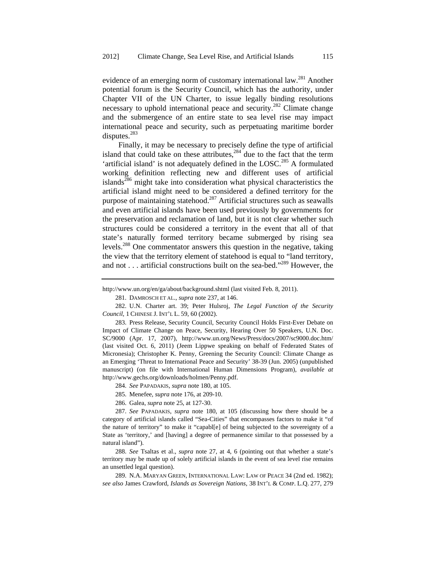evidence of an emerging norm of customary international law.<sup>281</sup> Another potential forum is the Security Council, which has the authority, under Chapter VII of the UN Charter, to issue legally binding resolutions necessary to uphold international peace and security.<sup>282</sup> Climate change and the submergence of an entire state to sea level rise may impact international peace and security, such as perpetuating maritime border disputes.<sup>283</sup>

Finally, it may be necessary to precisely define the type of artificial island that could take on these attributes,  $284$  due to the fact that the term 'artificial island' is not adequately defined in the LOSC.<sup>285</sup> A formulated working definition reflecting new and different uses of artificial islands<sup>286</sup> might take into consideration what physical characteristics the artificial island might need to be considered a defined territory for the purpose of maintaining statehood.287 Artificial structures such as seawalls and even artificial islands have been used previously by governments for the preservation and reclamation of land, but it is not clear whether such structures could be considered a territory in the event that all of that state's naturally formed territory became submerged by rising sea levels.288 One commentator answers this question in the negative, taking the view that the territory element of statehood is equal to "land territory, and not . . . artificial constructions built on the sea-bed."<sup>289</sup> However, the

283. Press Release, Security Council, Security Council Holds First-Ever Debate on Impact of Climate Change on Peace, Security, Hearing Over 50 Speakers, U.N. Doc. SC/9000 (Apr. 17, 2007), http://www.un.org/News/Press/docs/2007/sc9000.doc.htm/ (last visited Oct. 6, 2011) (Jeem Lippwe speaking on behalf of Federated States of Micronesia); Christopher K. Penny, Greening the Security Council: Climate Change as an Emerging 'Threat to International Peace and Security' 38-39 (Jun. 2005) (unpublished manuscript) (on file with International Human Dimensions Program), *available at* http://www.gechs.org/downloads/holmen/Penny.pdf.

284. *See* PAPADAKIS, *supra* note 180, at 105.

285. Menefee, *supra* note 176, at 209-10.

286. Galea, *supra* note 25, at 127-30.

287. *See* PAPADAKIS, *supra* note 180, at 105 (discussing how there should be a category of artificial islands called "Sea-Cities" that encompasses factors to make it "of the nature of territory" to make it "capabl[e] of being subjected to the sovereignty of a State as 'territory,' and [having] a degree of permanence similar to that possessed by a natural island").

288. *See* Tsaltas et al., *supra* note 27, at 4, 6 (pointing out that whether a state's territory may be made up of solely artificial islands in the event of sea level rise remains an unsettled legal question).

289. N.A. MARYAN GREEN, INTERNATIONAL LAW: LAW OF PEACE 34 (2nd ed. 1982); *see also* James Crawford, *Islands as Sovereign Nations*, 38 INT'L & COMP. L.Q. 277, 279

http://www.un.org/en/ga/about/background.shtml (last visited Feb. 8, 2011).

<sup>281.</sup> DAMROSCH ET AL., *supra* note 237, at 146.

<sup>282.</sup> U.N. Charter art. 39; Peter Hulsroj, *The Legal Function of the Security Council*, 1 CHINESE J. INT'L L. 59, 60 (2002).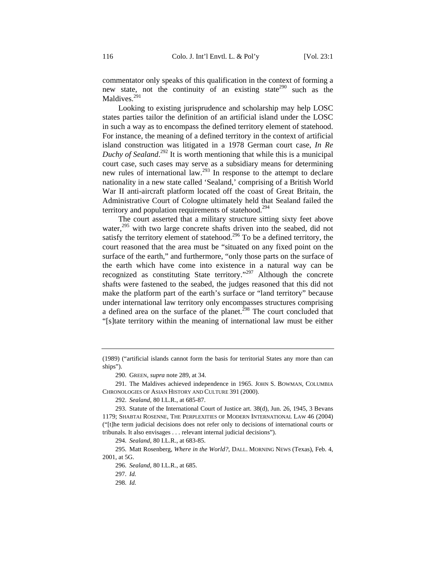commentator only speaks of this qualification in the context of forming a new state, not the continuity of an existing state<sup>290</sup> such as the Maldives.<sup>291</sup>

Looking to existing jurisprudence and scholarship may help LOSC states parties tailor the definition of an artificial island under the LOSC in such a way as to encompass the defined territory element of statehood. For instance, the meaning of a defined territory in the context of artificial island construction was litigated in a 1978 German court case, *In Re Duchy of Sealand*. 292 It is worth mentioning that while this is a municipal court case, such cases may serve as a subsidiary means for determining new rules of international law.293 In response to the attempt to declare nationality in a new state called 'Sealand,' comprising of a British World War II anti-aircraft platform located off the coast of Great Britain, the Administrative Court of Cologne ultimately held that Sealand failed the territory and population requirements of statehood.<sup>294</sup>

The court asserted that a military structure sitting sixty feet above water,<sup>295</sup> with two large concrete shafts driven into the seabed, did not satisfy the territory element of statehood.<sup>296</sup> To be a defined territory, the court reasoned that the area must be "situated on any fixed point on the surface of the earth," and furthermore, "only those parts on the surface of the earth which have come into existence in a natural way can be recognized as constituting State territory."<sup>297</sup> Although the concrete shafts were fastened to the seabed, the judges reasoned that this did not make the platform part of the earth's surface or "land territory" because under international law territory only encompasses structures comprising a defined area on the surface of the planet.<sup> $298$ </sup> The court concluded that "[s]tate territory within the meaning of international law must be either

<sup>(1989) (&</sup>quot;artificial islands cannot form the basis for territorial States any more than can ships").

<sup>290.</sup> GREEN, *supra* note 289, at 34.

<sup>291.</sup> The Maldives achieved independence in 1965. JOHN S. BOWMAN, COLUMBIA CHRONOLOGIES OF ASIAN HISTORY AND CULTURE 391 (2000).

<sup>292.</sup> *Sealand*, 80 I.L.R., at 685-87.

<sup>293.</sup> Statute of the International Court of Justice art. 38(d), Jun. 26, 1945, 3 Bevans 1179; SHABTAI ROSENNE, THE PERPLEXITIES OF MODERN INTERNATIONAL LAW 46 (2004) ("[t]he term judicial decisions does not refer only to decisions of international courts or tribunals. It also envisages . . . relevant internal judicial decisions").

<sup>294.</sup> *Sealand*, 80 I.L.R., at 683-85.

<sup>295.</sup> Matt Rosenberg, *Where in the World?*, DALL. MORNING NEWS (Texas), Feb. 4, 2001, at 5G.

<sup>296.</sup> *Sealand*, 80 I.L.R., at 685.

<sup>297.</sup> *Id.*

<sup>298.</sup> *Id.*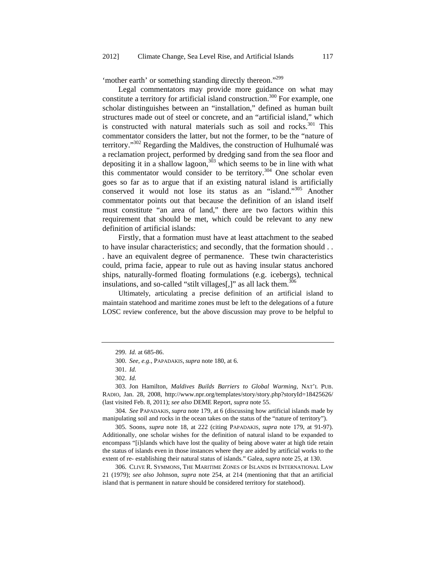'mother earth' or something standing directly thereon."<sup>299</sup>

Legal commentators may provide more guidance on what may constitute a territory for artificial island construction.<sup>300</sup> For example, one scholar distinguishes between an "installation," defined as human built structures made out of steel or concrete, and an "artificial island," which is constructed with natural materials such as soil and rocks.<sup>301</sup> This commentator considers the latter, but not the former, to be the "nature of territory."302 Regarding the Maldives, the construction of Hulhumalé was a reclamation project, performed by dredging sand from the sea floor and depositing it in a shallow lagoon,  $303$  which seems to be in line with what this commentator would consider to be territory.<sup>304</sup> One scholar even goes so far as to argue that if an existing natural island is artificially conserved it would not lose its status as an "island."305 Another commentator points out that because the definition of an island itself must constitute "an area of land," there are two factors within this requirement that should be met, which could be relevant to any new definition of artificial islands:

Firstly, that a formation must have at least attachment to the seabed to have insular characteristics; and secondly, that the formation should . . . have an equivalent degree of permanence. These twin characteristics could, prima facie, appear to rule out as having insular status anchored ships, naturally-formed floating formulations (e.g. icebergs), technical insulations, and so-called "stilt villages[,]" as all lack them.<sup>306</sup>

Ultimately, articulating a precise definition of an artificial island to maintain statehood and maritime zones must be left to the delegations of a future LOSC review conference, but the above discussion may prove to be helpful to

<sup>299.</sup> *Id.* at 685-86.

<sup>300.</sup> *See, e.g.*, PAPADAKIS, *supra* note 180, at 6.

<sup>301.</sup> *Id.*

<sup>302.</sup> *Id.*

<sup>303.</sup> Jon Hamilton, *Maldives Builds Barriers to Global Warming*, NAT'L PUB. RADIO, Jan. 28, 2008, http://www.npr.org/templates/story/story.php?storyId=18425626/ (last visited Feb. 8, 2011); *see also* DEME Report, *supra* note 55.

<sup>304.</sup> *See* PAPADAKIS, *supra* note 179, at 6 (discussing how artificial islands made by manipulating soil and rocks in the ocean takes on the status of the "nature of territory").

<sup>305.</sup> Soons, *supra* note 18, at 222 (citing PAPADAKIS, *supra* note 179, at 91-97). Additionally, one scholar wishes for the definition of natural island to be expanded to encompass "[i]slands which have lost the quality of being above water at high tide retain the status of islands even in those instances where they are aided by artificial works to the extent of re- establishing their natural status of islands." Galea, *supra* note 25, at 130.

<sup>306.</sup> CLIVE R. SYMMONS, THE MARITIME ZONES OF ISLANDS IN INTERNATIONAL LAW 21 (1979); *see also* Johnson, *supra* note 254, at 214 (mentioning that that an artificial island that is permanent in nature should be considered territory for statehood).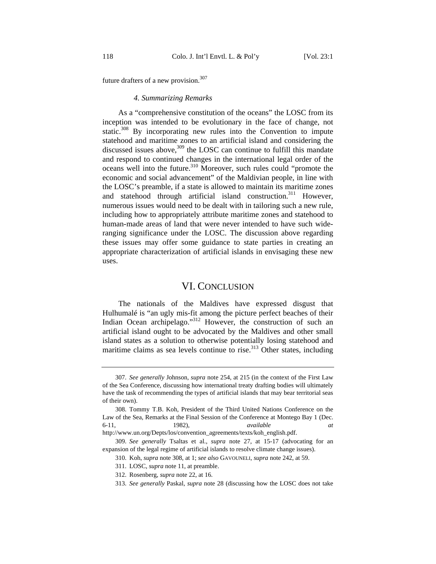future drafters of a new provision. $307$ 

#### *4. Summarizing Remarks*

As a "comprehensive constitution of the oceans" the LOSC from its inception was intended to be evolutionary in the face of change, not static.<sup>308</sup> By incorporating new rules into the Convention to impute statehood and maritime zones to an artificial island and considering the discussed issues above,  $309$  the LOSC can continue to fulfill this mandate and respond to continued changes in the international legal order of the oceans well into the future.<sup>310</sup> Moreover, such rules could "promote the economic and social advancement" of the Maldivian people, in line with the LOSC's preamble, if a state is allowed to maintain its maritime zones and statehood through artificial island construction.<sup>311</sup> However, numerous issues would need to be dealt with in tailoring such a new rule, including how to appropriately attribute maritime zones and statehood to human-made areas of land that were never intended to have such wideranging significance under the LOSC. The discussion above regarding these issues may offer some guidance to state parties in creating an appropriate characterization of artificial islands in envisaging these new uses.

## VI. CONCLUSION

The nationals of the Maldives have expressed disgust that Hulhumalé is "an ugly mis-fit among the picture perfect beaches of their Indian Ocean archipelago."<sup>312</sup> However, the construction of such an artificial island ought to be advocated by the Maldives and other small island states as a solution to otherwise potentially losing statehood and maritime claims as sea levels continue to rise.<sup>313</sup> Other states, including

<sup>307.</sup> *See generally* Johnson, *supra* note 254, at 215 (in the context of the First Law of the Sea Conference, discussing how international treaty drafting bodies will ultimately have the task of recommending the types of artificial islands that may bear territorial seas of their own).

<sup>308.</sup> Tommy T.B. Koh, President of the Third United Nations Conference on the Law of the Sea, Remarks at the Final Session of the Conference at Montego Bay 1 (Dec. 6-11, 1982), *available at* http://www.un.org/Depts/los/convention\_agreements/texts/koh\_english.pdf.

<sup>309.</sup> *See generally* Tsaltas et al., *supra* note 27, at 15-17 (advocating for an expansion of the legal regime of artificial islands to resolve climate change issues).

<sup>310.</sup> Koh, *supra* note 308, at 1; *see also* GAVOUNELI, *supra* note 242, at 59.

<sup>311.</sup> LOSC, *supra* note 11, at preamble.

<sup>312.</sup> Rosenberg, *supra* note 22, at 16.

<sup>313.</sup> *See generally* Paskal, *supra* note 28 (discussing how the LOSC does not take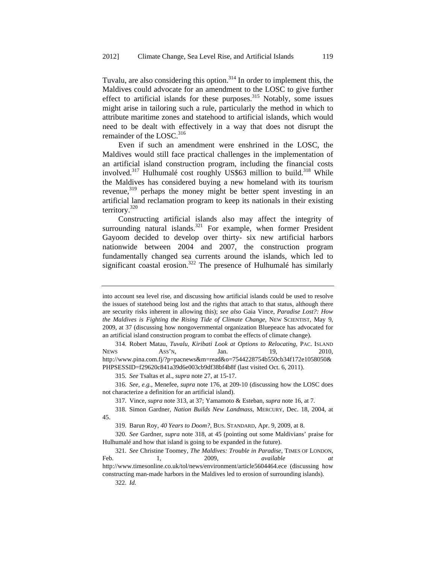Tuvalu, are also considering this option.<sup>314</sup> In order to implement this, the Maldives could advocate for an amendment to the LOSC to give further effect to artificial islands for these purposes. $315$  Notably, some issues might arise in tailoring such a rule, particularly the method in which to attribute maritime zones and statehood to artificial islands, which would need to be dealt with effectively in a way that does not disrupt the remainder of the LOSC.<sup>316</sup>

Even if such an amendment were enshrined in the LOSC, the Maldives would still face practical challenges in the implementation of an artificial island construction program, including the financial costs involved.<sup>317</sup> Hulhumalé cost roughly US\$63 million to build.<sup>318</sup> While the Maldives has considered buying a new homeland with its tourism revenue,<sup>319</sup> perhaps the money might be better spent investing in an artificial land reclamation program to keep its nationals in their existing territory.320

Constructing artificial islands also may affect the integrity of surrounding natural islands. $321$  For example, when former President Gayoom decided to develop over thirty- six new artificial harbors nationwide between 2004 and 2007, the construction program fundamentally changed sea currents around the islands, which led to significant coastal erosion.<sup>322</sup> The presence of Hulhumalé has similarly

322. *Id.*

into account sea level rise, and discussing how artificial islands could be used to resolve the issues of statehood being lost and the rights that attach to that status, although there are security risks inherent in allowing this); *see also* Gaia Vince, *Paradise Lost?: How the Maldives is Fighting the Rising Tide of Climate Change*, NEW SCIENTIST, May 9, 2009, at 37 (discussing how nongovernmental organization Bluepeace has advocated for an artificial island construction program to combat the effects of climate change).

<sup>314.</sup> Robert Matau, *Tuvalu, Kiribati Look at Options to Relocating*, PAC. ISLAND NEWS ASS'N, Jan. 19, 2010, http://www.pina.com.fj/?p=pacnews&m=read&o=7544228754b550cb34f172e1058050& PHPSESSID=f29620c841a39d6e003cb9df38bf4b8f (last visited Oct. 6, 2011).

<sup>315.</sup> *See* Tsaltas et al., *supra* note 27, at 15-17.

<sup>316.</sup> *See, e.g.*, Menefee, *supra* note 176, at 209-10 (discussing how the LOSC does not characterize a definition for an artificial island).

<sup>317.</sup> Vince, *supra* note 313, at 37; Yamamoto & Esteban, *supra* note 16, at 7*.*

<sup>318.</sup> Simon Gardner, *Nation Builds New Landmass*, MERCURY, Dec. 18, 2004, at 45.

<sup>319.</sup> Barun Roy, *40 Years to Doom?*, BUS. STANDARD, Apr. 9, 2009, at 8.

<sup>320.</sup> *See* Gardner, *supra* note 318, at 45 (pointing out some Maldivians' praise for Hulhumalé and how that island is going to be expanded in the future).

<sup>321.</sup> *See* Christine Toomey, *The Maldives: Trouble in Paradise*, TIMES OF LONDON, Feb. 1, 2009, *available at* http://www.timesonline.co.uk/tol/news/environment/article5604464.ece (discussing how constructing man-made harbors in the Maldives led to erosion of surrounding islands).